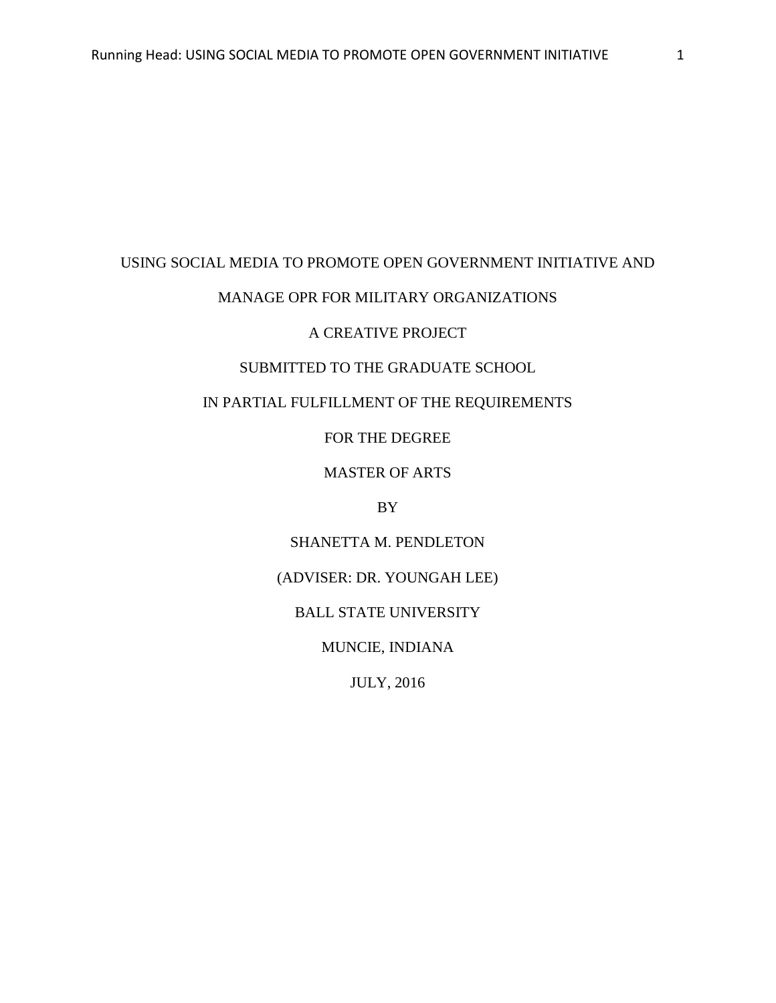#### USING SOCIAL MEDIA TO PROMOTE OPEN GOVERNMENT INITIATIVE AND

# MANAGE OPR FOR MILITARY ORGANIZATIONS

# A CREATIVE PROJECT

# SUBMITTED TO THE GRADUATE SCHOOL

# IN PARTIAL FULFILLMENT OF THE REQUIREMENTS

# FOR THE DEGREE

# MASTER OF ARTS

# BY

# SHANETTA M. PENDLETON

## (ADVISER: DR. YOUNGAH LEE)

# BALL STATE UNIVERSITY

# MUNCIE, INDIANA

# JULY, 2016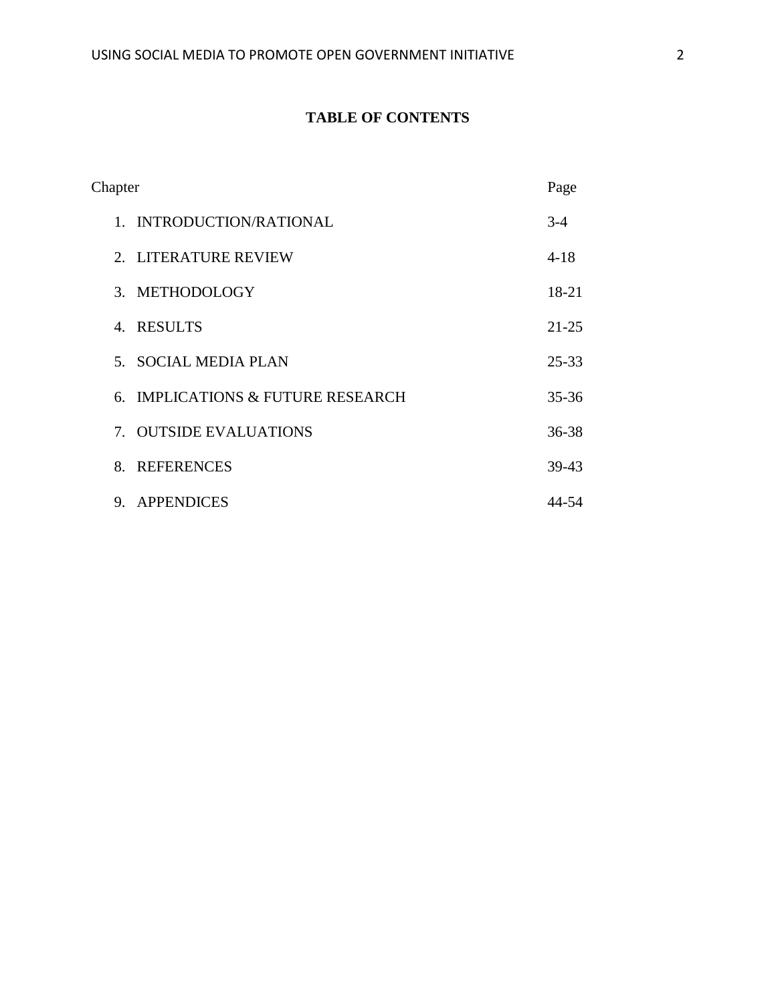# **TABLE OF CONTENTS**

| Chapter                           | Page      |
|-----------------------------------|-----------|
| 1. INTRODUCTION/RATIONAL          | $3 - 4$   |
| 2. LITERATURE REVIEW              | $4 - 18$  |
| 3. METHODOLOGY                    | 18-21     |
| 4. RESULTS                        | $21 - 25$ |
| 5. SOCIAL MEDIA PLAN              | $25 - 33$ |
| 6. IMPLICATIONS & FUTURE RESEARCH | $35 - 36$ |
| 7. OUTSIDE EVALUATIONS            | 36-38     |
| <b>REFERENCES</b><br>8.           | 39-43     |
| APPENDICES<br>9.                  | 44-54     |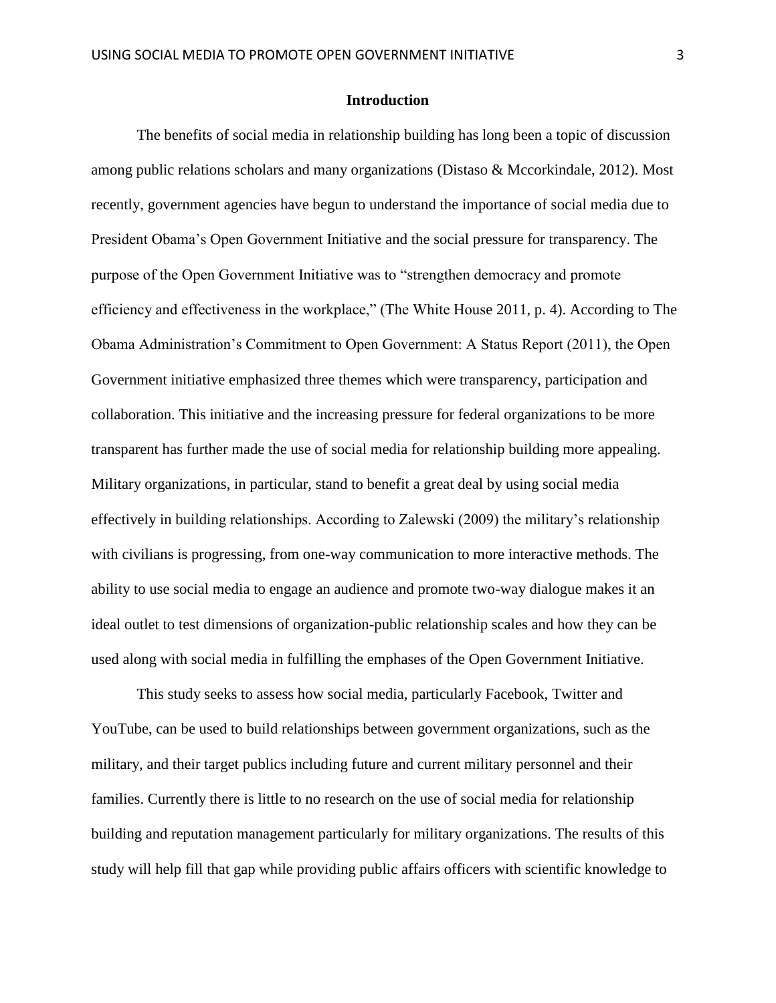# **Introduction**

The benefits of social media in relationship building has long been a topic of discussion among public relations scholars and many organizations (Distaso & Mccorkindale, 2012). Most recently, government agencies have begun to understand the importance of social media due to President Obama's Open Government Initiative and the social pressure for transparency. The purpose of the Open Government Initiative was to "strengthen democracy and promote efficiency and effectiveness in the workplace," (The White House 2011, p. 4). According to The Obama Administration's Commitment to Open Government: A Status Report (2011), the Open Government initiative emphasized three themes which were transparency, participation and collaboration. This initiative and the increasing pressure for federal organizations to be more transparent has further made the use of social media for relationship building more appealing. Military organizations, in particular, stand to benefit a great deal by using social media effectively in building relationships. According to Zalewski (2009) the military's relationship with civilians is progressing, from one-way communication to more interactive methods. The ability to use social media to engage an audience and promote two-way dialogue makes it an ideal outlet to test dimensions of organization-public relationship scales and how they can be used along with social media in fulfilling the emphases of the Open Government Initiative.

This study seeks to assess how social media, particularly Facebook, Twitter and YouTube, can be used to build relationships between government organizations, such as the military, and their target publics including future and current military personnel and their families. Currently there is little to no research on the use of social media for relationship building and reputation management particularly for military organizations. The results of this study will help fill that gap while providing public affairs officers with scientific knowledge to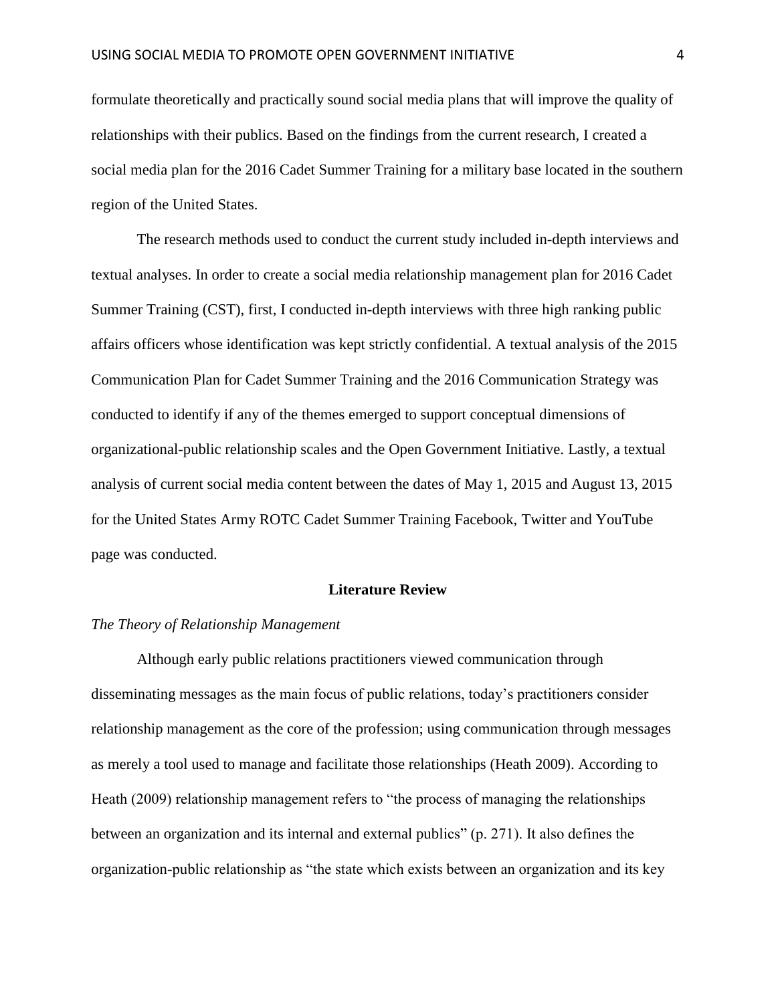formulate theoretically and practically sound social media plans that will improve the quality of relationships with their publics. Based on the findings from the current research, I created a social media plan for the 2016 Cadet Summer Training for a military base located in the southern region of the United States.

The research methods used to conduct the current study included in-depth interviews and textual analyses. In order to create a social media relationship management plan for 2016 Cadet Summer Training (CST), first, I conducted in-depth interviews with three high ranking public affairs officers whose identification was kept strictly confidential. A textual analysis of the 2015 Communication Plan for Cadet Summer Training and the 2016 Communication Strategy was conducted to identify if any of the themes emerged to support conceptual dimensions of organizational-public relationship scales and the Open Government Initiative. Lastly, a textual analysis of current social media content between the dates of May 1, 2015 and August 13, 2015 for the United States Army ROTC Cadet Summer Training Facebook, Twitter and YouTube page was conducted.

#### **Literature Review**

#### *The Theory of Relationship Management*

Although early public relations practitioners viewed communication through disseminating messages as the main focus of public relations, today's practitioners consider relationship management as the core of the profession; using communication through messages as merely a tool used to manage and facilitate those relationships (Heath 2009). According to Heath (2009) relationship management refers to "the process of managing the relationships between an organization and its internal and external publics" (p. 271). It also defines the organization-public relationship as "the state which exists between an organization and its key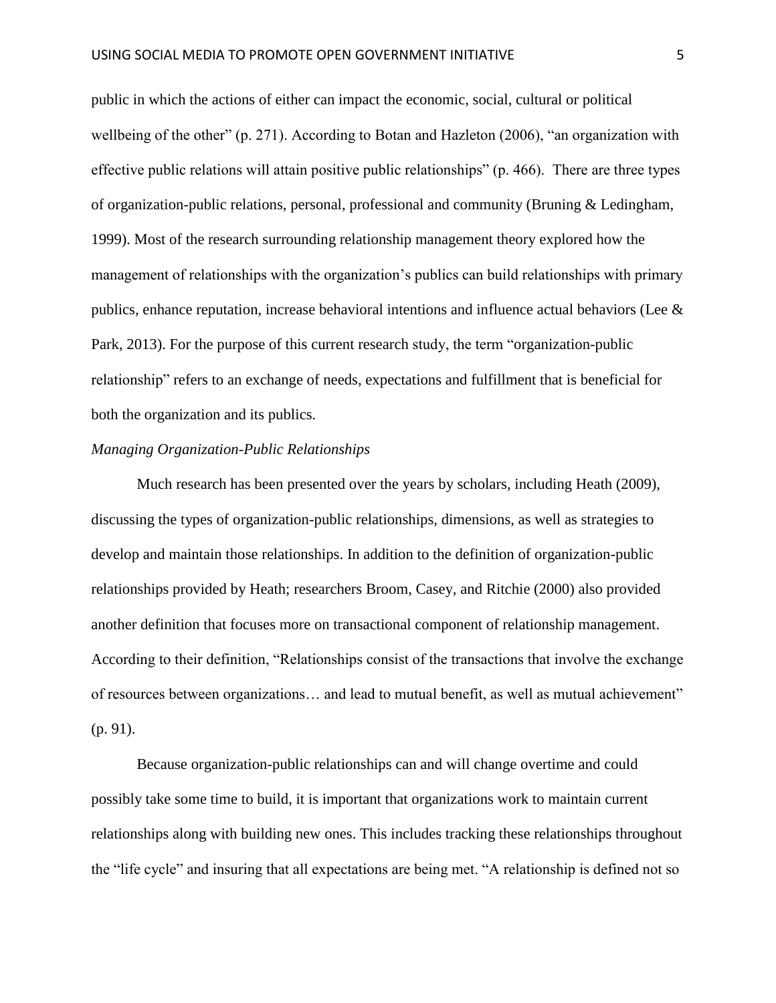public in which the actions of either can impact the economic, social, cultural or political wellbeing of the other" (p. 271). According to Botan and Hazleton (2006), "an organization with effective public relations will attain positive public relationships" (p. 466). There are three types of organization-public relations, personal, professional and community (Bruning & Ledingham, 1999). Most of the research surrounding relationship management theory explored how the management of relationships with the organization's publics can build relationships with primary publics, enhance reputation, increase behavioral intentions and influence actual behaviors (Lee & Park, 2013). For the purpose of this current research study, the term "organization-public relationship" refers to an exchange of needs, expectations and fulfillment that is beneficial for both the organization and its publics.

## *Managing Organization-Public Relationships*

Much research has been presented over the years by scholars, including Heath (2009), discussing the types of organization-public relationships, dimensions, as well as strategies to develop and maintain those relationships. In addition to the definition of organization-public relationships provided by Heath; researchers Broom, Casey, and Ritchie (2000) also provided another definition that focuses more on transactional component of relationship management. According to their definition, "Relationships consist of the transactions that involve the exchange of resources between organizations… and lead to mutual benefit, as well as mutual achievement" (p. 91).

Because organization-public relationships can and will change overtime and could possibly take some time to build, it is important that organizations work to maintain current relationships along with building new ones. This includes tracking these relationships throughout the "life cycle" and insuring that all expectations are being met. "A relationship is defined not so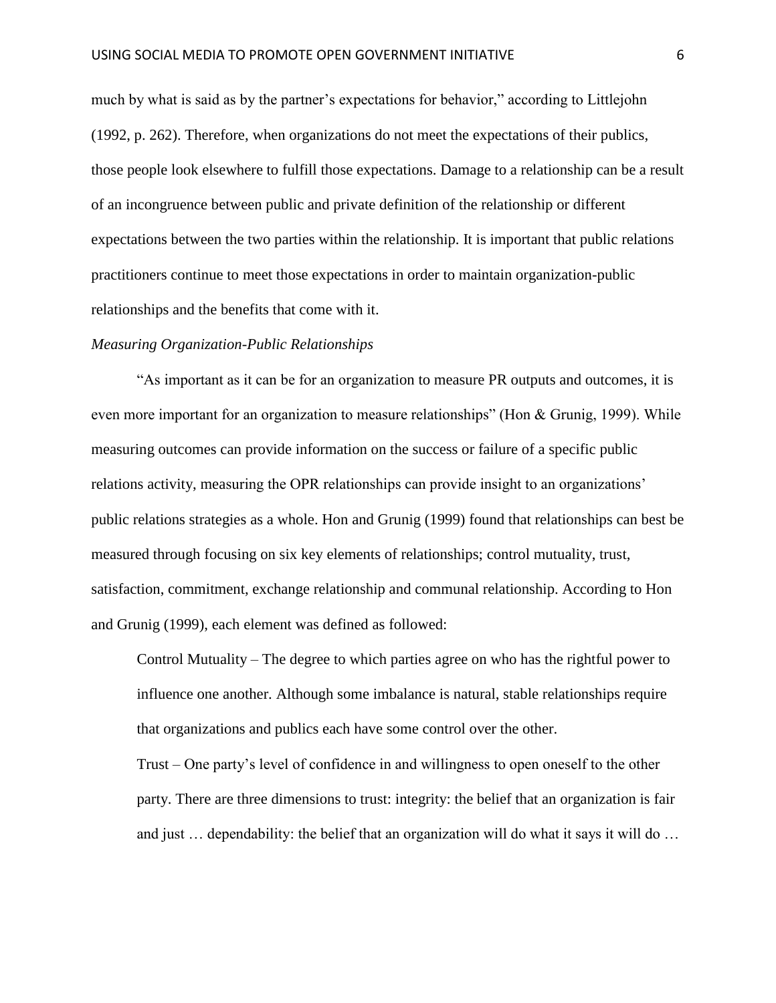much by what is said as by the partner's expectations for behavior," according to Littlejohn (1992, p. 262). Therefore, when organizations do not meet the expectations of their publics, those people look elsewhere to fulfill those expectations. Damage to a relationship can be a result of an incongruence between public and private definition of the relationship or different expectations between the two parties within the relationship. It is important that public relations practitioners continue to meet those expectations in order to maintain organization-public relationships and the benefits that come with it.

#### *Measuring Organization-Public Relationships*

"As important as it can be for an organization to measure PR outputs and outcomes, it is even more important for an organization to measure relationships" (Hon & Grunig, 1999). While measuring outcomes can provide information on the success or failure of a specific public relations activity, measuring the OPR relationships can provide insight to an organizations' public relations strategies as a whole. Hon and Grunig (1999) found that relationships can best be measured through focusing on six key elements of relationships; control mutuality, trust, satisfaction, commitment, exchange relationship and communal relationship. According to Hon and Grunig (1999), each element was defined as followed:

Control Mutuality – The degree to which parties agree on who has the rightful power to influence one another. Although some imbalance is natural, stable relationships require that organizations and publics each have some control over the other.

Trust – One party's level of confidence in and willingness to open oneself to the other party. There are three dimensions to trust: integrity: the belief that an organization is fair and just … dependability: the belief that an organization will do what it says it will do …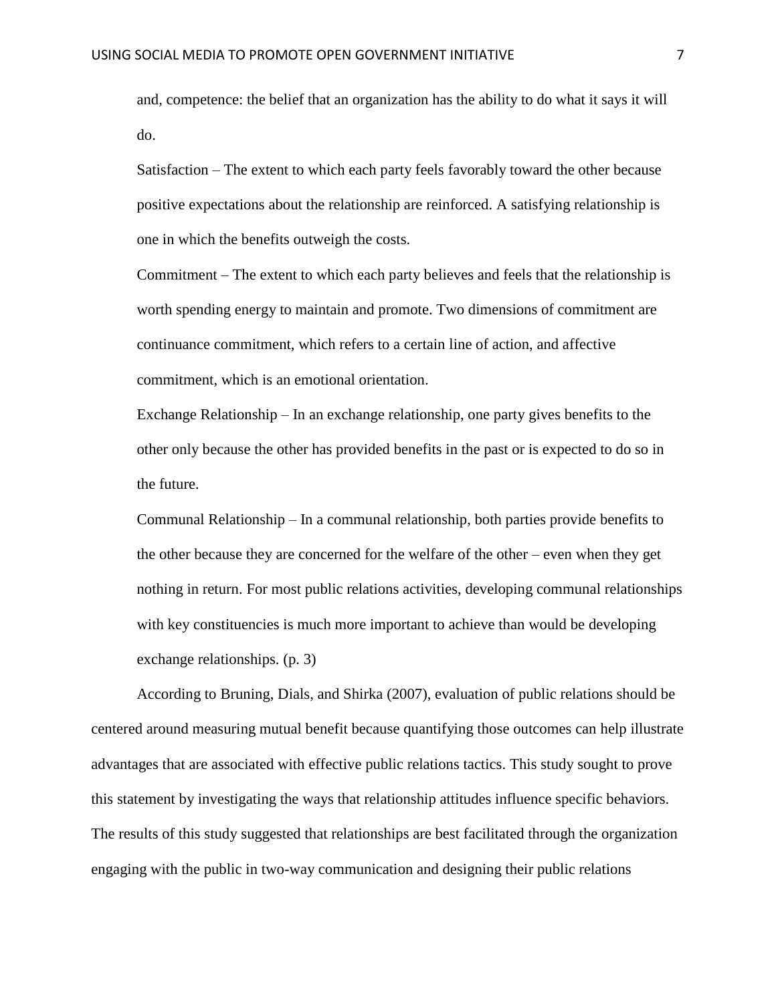and, competence: the belief that an organization has the ability to do what it says it will do.

Satisfaction – The extent to which each party feels favorably toward the other because positive expectations about the relationship are reinforced. A satisfying relationship is one in which the benefits outweigh the costs.

Commitment – The extent to which each party believes and feels that the relationship is worth spending energy to maintain and promote. Two dimensions of commitment are continuance commitment, which refers to a certain line of action, and affective commitment, which is an emotional orientation.

Exchange Relationship – In an exchange relationship, one party gives benefits to the other only because the other has provided benefits in the past or is expected to do so in the future.

Communal Relationship – In a communal relationship, both parties provide benefits to the other because they are concerned for the welfare of the other – even when they get nothing in return. For most public relations activities, developing communal relationships with key constituencies is much more important to achieve than would be developing exchange relationships. (p. 3)

According to Bruning, Dials, and Shirka (2007), evaluation of public relations should be centered around measuring mutual benefit because quantifying those outcomes can help illustrate advantages that are associated with effective public relations tactics. This study sought to prove this statement by investigating the ways that relationship attitudes influence specific behaviors. The results of this study suggested that relationships are best facilitated through the organization engaging with the public in two-way communication and designing their public relations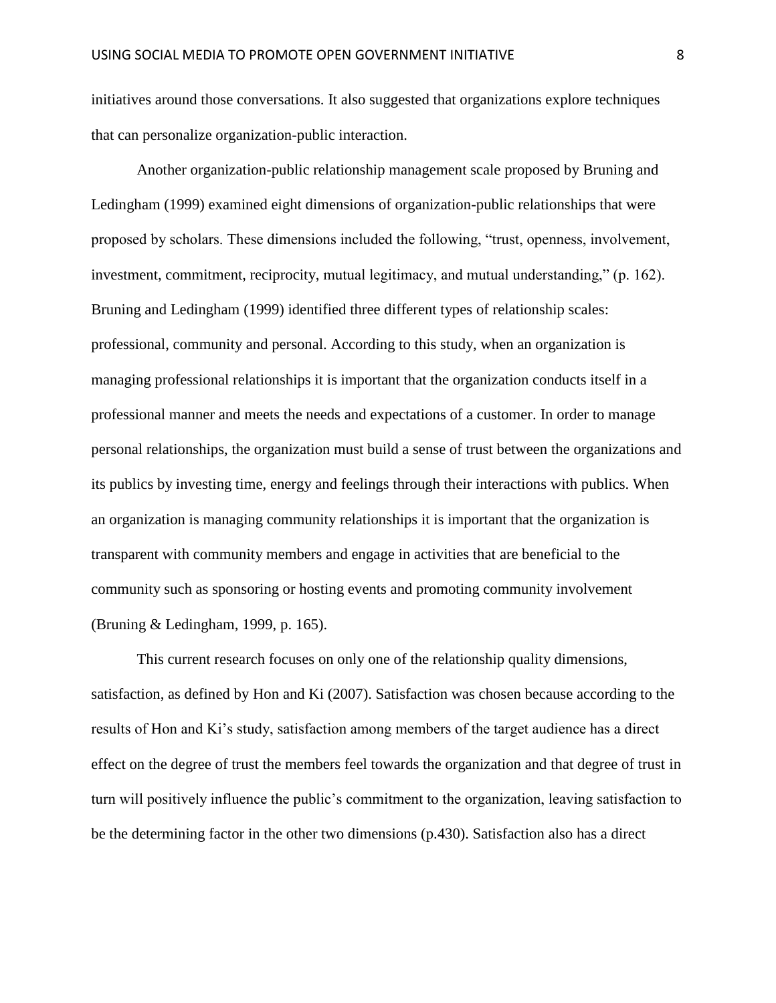initiatives around those conversations. It also suggested that organizations explore techniques that can personalize organization-public interaction.

Another organization-public relationship management scale proposed by Bruning and Ledingham (1999) examined eight dimensions of organization-public relationships that were proposed by scholars. These dimensions included the following, "trust, openness, involvement, investment, commitment, reciprocity, mutual legitimacy, and mutual understanding," (p. 162). Bruning and Ledingham (1999) identified three different types of relationship scales: professional, community and personal. According to this study, when an organization is managing professional relationships it is important that the organization conducts itself in a professional manner and meets the needs and expectations of a customer. In order to manage personal relationships, the organization must build a sense of trust between the organizations and its publics by investing time, energy and feelings through their interactions with publics. When an organization is managing community relationships it is important that the organization is transparent with community members and engage in activities that are beneficial to the community such as sponsoring or hosting events and promoting community involvement (Bruning & Ledingham, 1999, p. 165).

This current research focuses on only one of the relationship quality dimensions, satisfaction, as defined by Hon and Ki (2007). Satisfaction was chosen because according to the results of Hon and Ki's study, satisfaction among members of the target audience has a direct effect on the degree of trust the members feel towards the organization and that degree of trust in turn will positively influence the public's commitment to the organization, leaving satisfaction to be the determining factor in the other two dimensions (p.430). Satisfaction also has a direct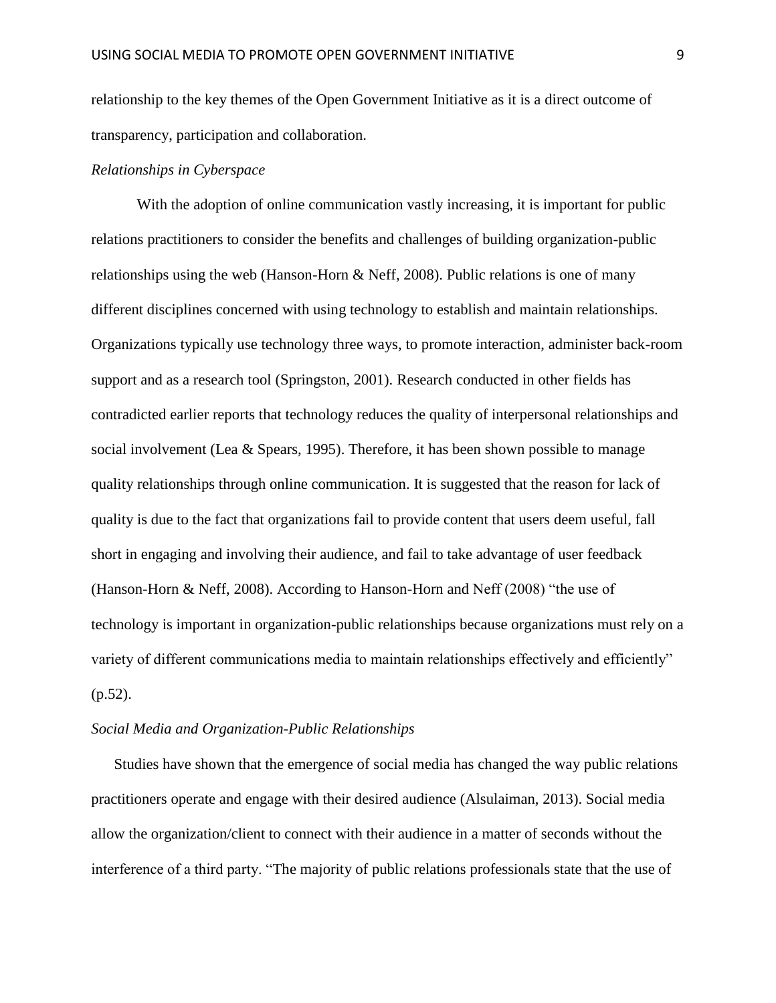relationship to the key themes of the Open Government Initiative as it is a direct outcome of transparency, participation and collaboration.

#### *Relationships in Cyberspace*

With the adoption of online communication vastly increasing, it is important for public relations practitioners to consider the benefits and challenges of building organization-public relationships using the web (Hanson-Horn & Neff, 2008). Public relations is one of many different disciplines concerned with using technology to establish and maintain relationships. Organizations typically use technology three ways, to promote interaction, administer back-room support and as a research tool (Springston, 2001). Research conducted in other fields has contradicted earlier reports that technology reduces the quality of interpersonal relationships and social involvement (Lea & Spears, 1995). Therefore, it has been shown possible to manage quality relationships through online communication. It is suggested that the reason for lack of quality is due to the fact that organizations fail to provide content that users deem useful, fall short in engaging and involving their audience, and fail to take advantage of user feedback (Hanson-Horn & Neff, 2008). According to Hanson-Horn and Neff (2008) "the use of technology is important in organization-public relationships because organizations must rely on a variety of different communications media to maintain relationships effectively and efficiently"  $(p.52)$ .

#### *Social Media and Organization-Public Relationships*

Studies have shown that the emergence of social media has changed the way public relations practitioners operate and engage with their desired audience (Alsulaiman, 2013). Social media allow the organization/client to connect with their audience in a matter of seconds without the interference of a third party. "The majority of public relations professionals state that the use of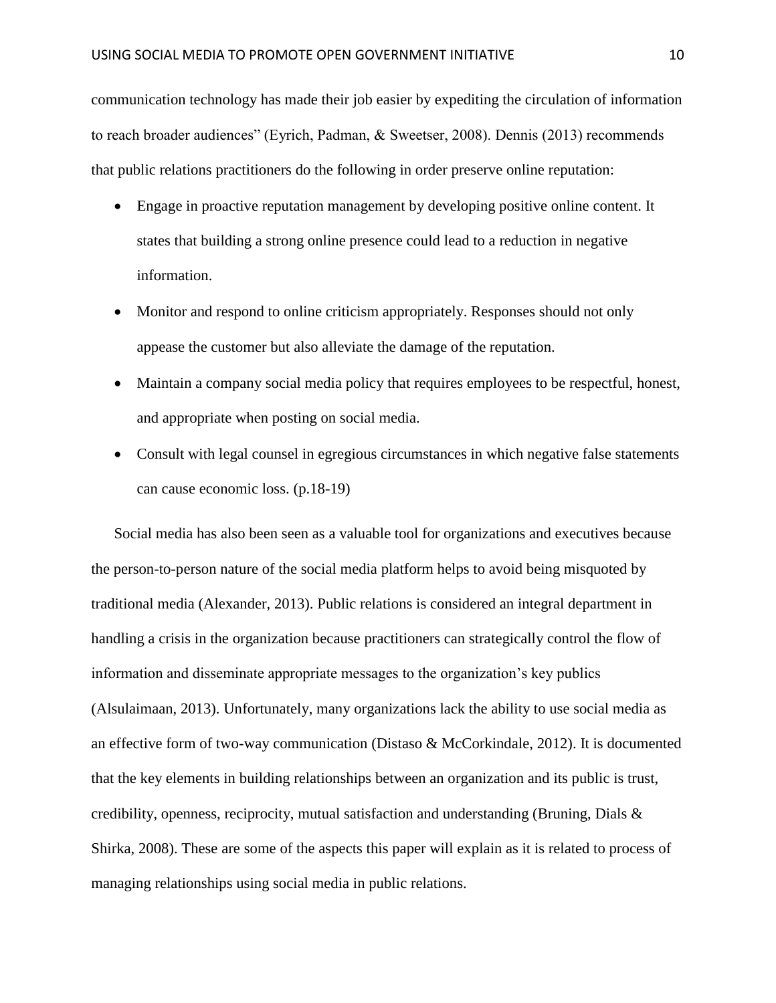communication technology has made their job easier by expediting the circulation of information to reach broader audiences" (Eyrich, Padman, & Sweetser, 2008). Dennis (2013) recommends that public relations practitioners do the following in order preserve online reputation:

- Engage in proactive reputation management by developing positive online content. It states that building a strong online presence could lead to a reduction in negative information.
- Monitor and respond to online criticism appropriately. Responses should not only appease the customer but also alleviate the damage of the reputation.
- Maintain a company social media policy that requires employees to be respectful, honest, and appropriate when posting on social media.
- Consult with legal counsel in egregious circumstances in which negative false statements can cause economic loss. (p.18-19)

Social media has also been seen as a valuable tool for organizations and executives because the person-to-person nature of the social media platform helps to avoid being misquoted by traditional media (Alexander, 2013). Public relations is considered an integral department in handling a crisis in the organization because practitioners can strategically control the flow of information and disseminate appropriate messages to the organization's key publics (Alsulaimaan, 2013). Unfortunately, many organizations lack the ability to use social media as an effective form of two-way communication (Distaso & McCorkindale, 2012). It is documented that the key elements in building relationships between an organization and its public is trust, credibility, openness, reciprocity, mutual satisfaction and understanding (Bruning, Dials & Shirka, 2008). These are some of the aspects this paper will explain as it is related to process of managing relationships using social media in public relations.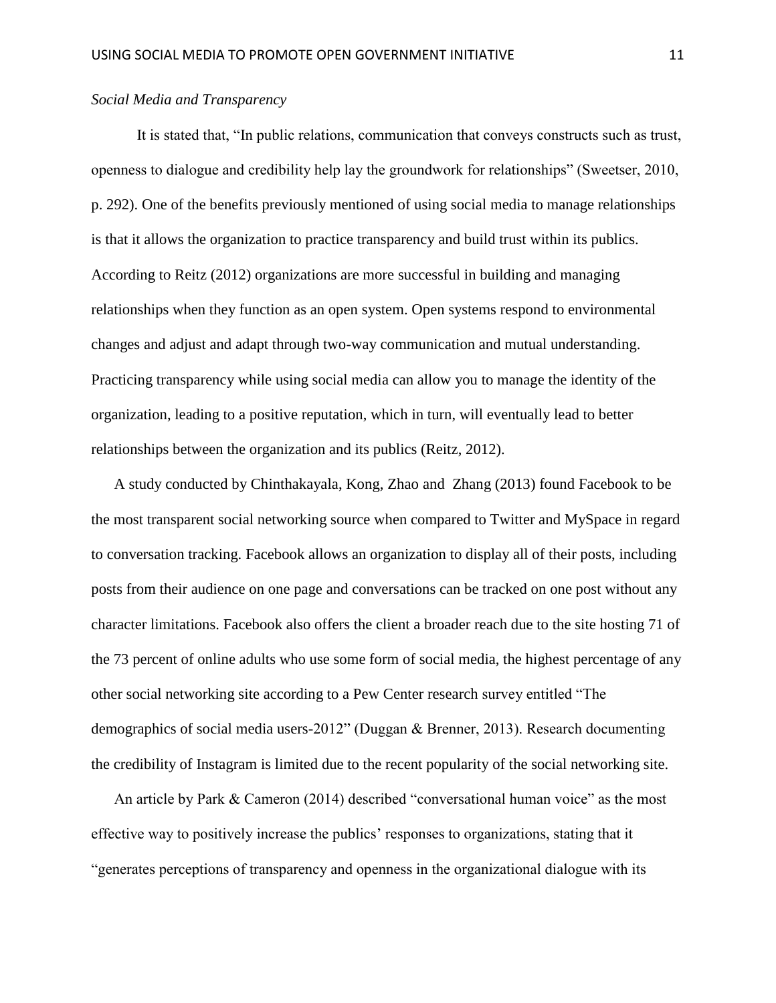## *Social Media and Transparency*

It is stated that, "In public relations, communication that conveys constructs such as trust, openness to dialogue and credibility help lay the groundwork for relationships" (Sweetser, 2010, p. 292). One of the benefits previously mentioned of using social media to manage relationships is that it allows the organization to practice transparency and build trust within its publics. According to Reitz (2012) organizations are more successful in building and managing relationships when they function as an open system. Open systems respond to environmental changes and adjust and adapt through two-way communication and mutual understanding. Practicing transparency while using social media can allow you to manage the identity of the organization, leading to a positive reputation, which in turn, will eventually lead to better relationships between the organization and its publics (Reitz, 2012).

A study conducted by Chinthakayala, Kong, Zhao and Zhang (2013) found Facebook to be the most transparent social networking source when compared to Twitter and MySpace in regard to conversation tracking. Facebook allows an organization to display all of their posts, including posts from their audience on one page and conversations can be tracked on one post without any character limitations. Facebook also offers the client a broader reach due to the site hosting 71 of the 73 percent of online adults who use some form of social media, the highest percentage of any other social networking site according to a Pew Center research survey entitled "The demographics of social media users-2012" (Duggan & Brenner, 2013). Research documenting the credibility of Instagram is limited due to the recent popularity of the social networking site.

An article by Park & Cameron (2014) described "conversational human voice" as the most effective way to positively increase the publics' responses to organizations, stating that it "generates perceptions of transparency and openness in the organizational dialogue with its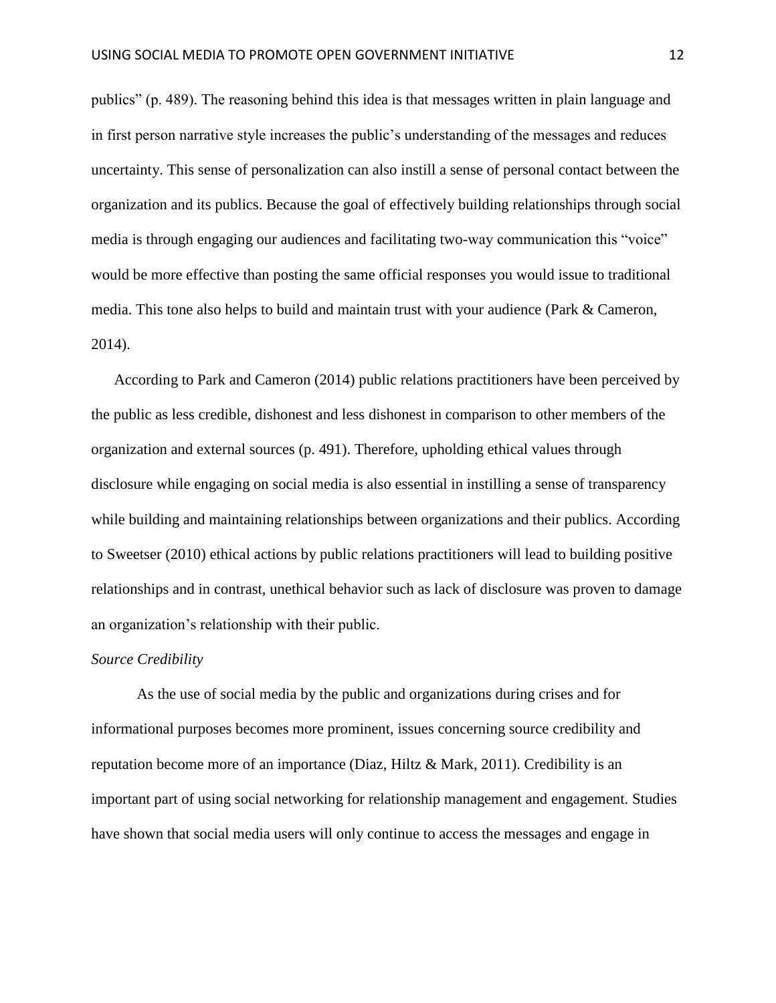publics" (p. 489). The reasoning behind this idea is that messages written in plain language and in first person narrative style increases the public's understanding of the messages and reduces uncertainty. This sense of personalization can also instill a sense of personal contact between the organization and its publics. Because the goal of effectively building relationships through social media is through engaging our audiences and facilitating two-way communication this "voice" would be more effective than posting the same official responses you would issue to traditional media. This tone also helps to build and maintain trust with your audience (Park & Cameron, 2014).

According to Park and Cameron (2014) public relations practitioners have been perceived by the public as less credible, dishonest and less dishonest in comparison to other members of the organization and external sources (p. 491). Therefore, upholding ethical values through disclosure while engaging on social media is also essential in instilling a sense of transparency while building and maintaining relationships between organizations and their publics. According to Sweetser (2010) ethical actions by public relations practitioners will lead to building positive relationships and in contrast, unethical behavior such as lack of disclosure was proven to damage an organization's relationship with their public.

#### *Source Credibility*

As the use of social media by the public and organizations during crises and for informational purposes becomes more prominent, issues concerning source credibility and reputation become more of an importance (Diaz, Hiltz & Mark, 2011). Credibility is an important part of using social networking for relationship management and engagement. Studies have shown that social media users will only continue to access the messages and engage in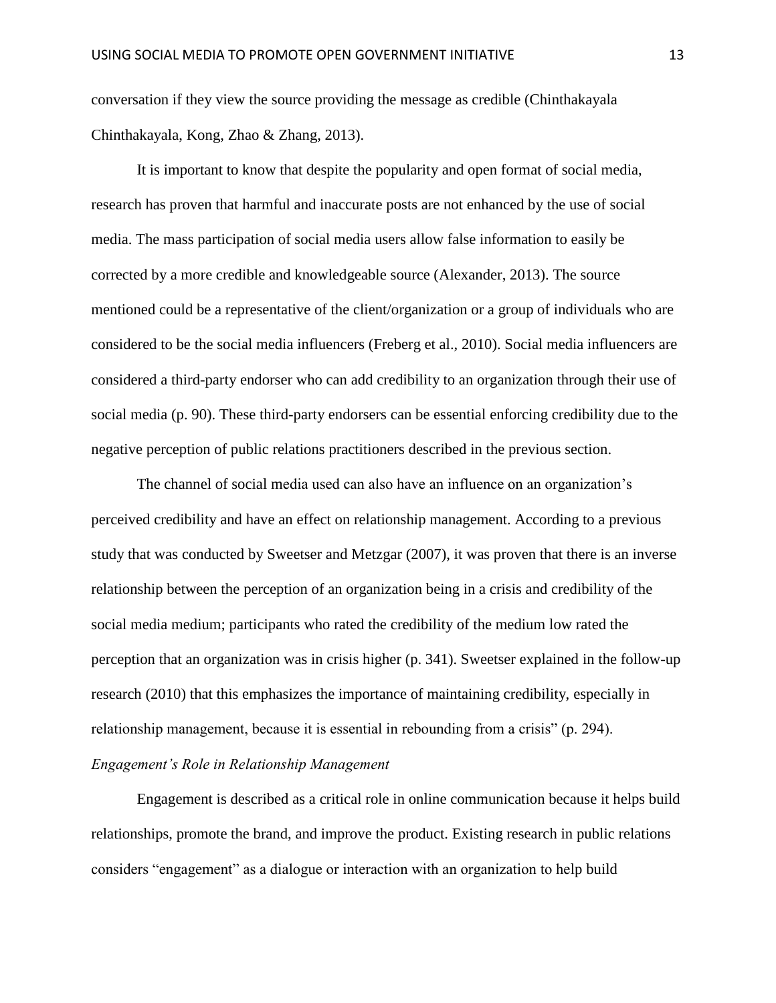conversation if they view the source providing the message as credible (Chinthakayala Chinthakayala, Kong, Zhao & Zhang, 2013).

It is important to know that despite the popularity and open format of social media, research has proven that harmful and inaccurate posts are not enhanced by the use of social media. The mass participation of social media users allow false information to easily be corrected by a more credible and knowledgeable source (Alexander, 2013). The source mentioned could be a representative of the client/organization or a group of individuals who are considered to be the social media influencers (Freberg et al., 2010). Social media influencers are considered a third-party endorser who can add credibility to an organization through their use of social media (p. 90). These third-party endorsers can be essential enforcing credibility due to the negative perception of public relations practitioners described in the previous section.

The channel of social media used can also have an influence on an organization's perceived credibility and have an effect on relationship management. According to a previous study that was conducted by Sweetser and Metzgar (2007), it was proven that there is an inverse relationship between the perception of an organization being in a crisis and credibility of the social media medium; participants who rated the credibility of the medium low rated the perception that an organization was in crisis higher (p. 341). Sweetser explained in the follow-up research (2010) that this emphasizes the importance of maintaining credibility, especially in relationship management, because it is essential in rebounding from a crisis" (p. 294). *Engagement's Role in Relationship Management*

Engagement is described as a critical role in online communication because it helps build relationships, promote the brand, and improve the product. Existing research in public relations considers "engagement" as a dialogue or interaction with an organization to help build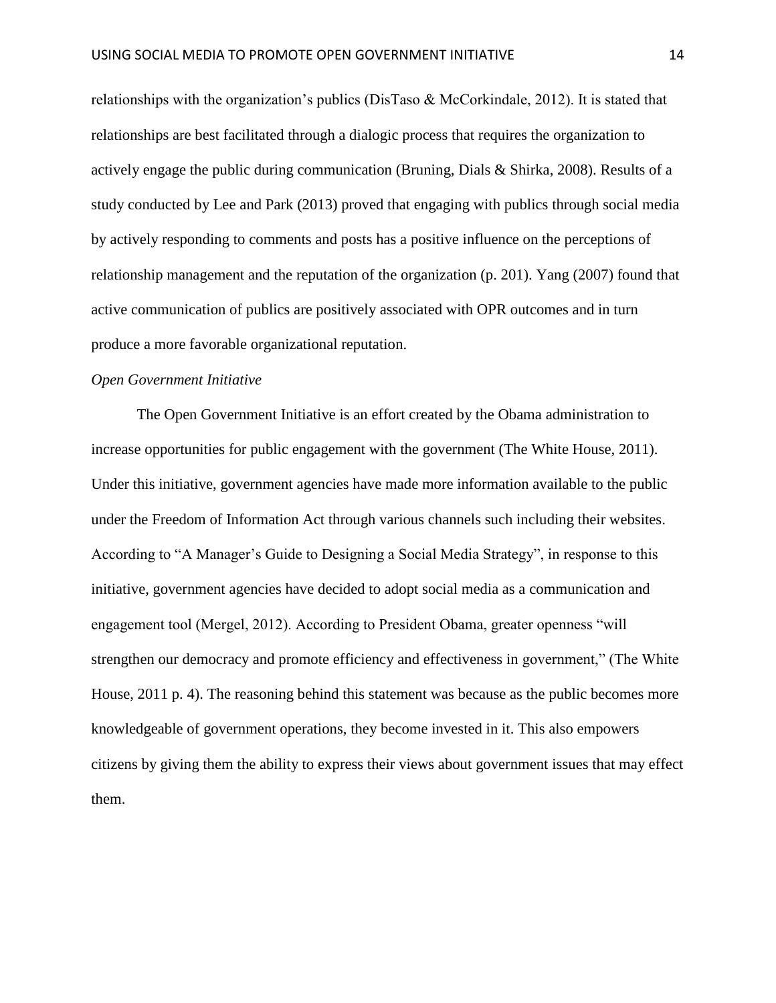relationships with the organization's publics (DisTaso  $\&$  McCorkindale, 2012). It is stated that relationships are best facilitated through a dialogic process that requires the organization to actively engage the public during communication (Bruning, Dials & Shirka, 2008). Results of a study conducted by Lee and Park (2013) proved that engaging with publics through social media by actively responding to comments and posts has a positive influence on the perceptions of relationship management and the reputation of the organization (p. 201). Yang (2007) found that active communication of publics are positively associated with OPR outcomes and in turn produce a more favorable organizational reputation.

#### *Open Government Initiative*

The Open Government Initiative is an effort created by the Obama administration to increase opportunities for public engagement with the government (The White House, 2011). Under this initiative, government agencies have made more information available to the public under the Freedom of Information Act through various channels such including their websites. According to "A Manager's Guide to Designing a Social Media Strategy", in response to this initiative, government agencies have decided to adopt social media as a communication and engagement tool (Mergel, 2012). According to President Obama, greater openness "will strengthen our democracy and promote efficiency and effectiveness in government," (The White House, 2011 p. 4). The reasoning behind this statement was because as the public becomes more knowledgeable of government operations, they become invested in it. This also empowers citizens by giving them the ability to express their views about government issues that may effect them.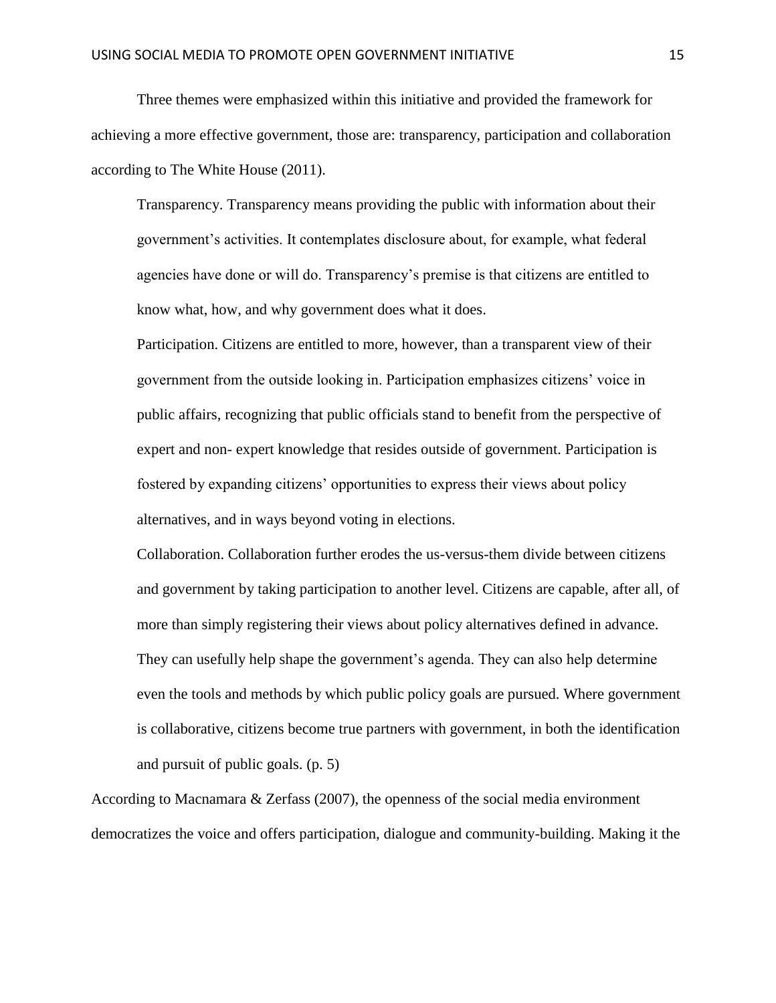Three themes were emphasized within this initiative and provided the framework for achieving a more effective government, those are: transparency, participation and collaboration according to The White House (2011).

Transparency. Transparency means providing the public with information about their government's activities. It contemplates disclosure about, for example, what federal agencies have done or will do. Transparency's premise is that citizens are entitled to know what, how, and why government does what it does.

Participation. Citizens are entitled to more, however, than a transparent view of their government from the outside looking in. Participation emphasizes citizens' voice in public affairs, recognizing that public officials stand to benefit from the perspective of expert and non- expert knowledge that resides outside of government. Participation is fostered by expanding citizens' opportunities to express their views about policy alternatives, and in ways beyond voting in elections.

Collaboration. Collaboration further erodes the us-versus-them divide between citizens and government by taking participation to another level. Citizens are capable, after all, of more than simply registering their views about policy alternatives defined in advance. They can usefully help shape the government's agenda. They can also help determine even the tools and methods by which public policy goals are pursued. Where government is collaborative, citizens become true partners with government, in both the identification and pursuit of public goals. (p. 5)

According to Macnamara & Zerfass (2007), the openness of the social media environment democratizes the voice and offers participation, dialogue and community-building. Making it the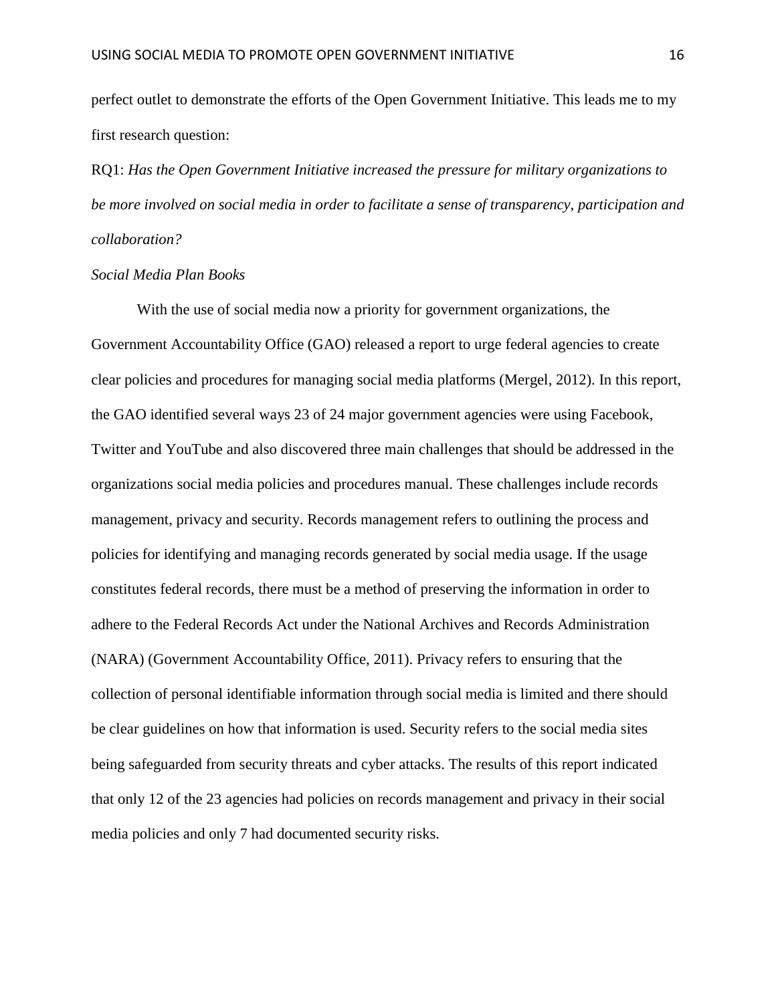perfect outlet to demonstrate the efforts of the Open Government Initiative. This leads me to my first research question:

RQ1: *Has the Open Government Initiative increased the pressure for military organizations to be more involved on social media in order to facilitate a sense of transparency, participation and collaboration?*

## *Social Media Plan Books*

With the use of social media now a priority for government organizations, the Government Accountability Office (GAO) released a report to urge federal agencies to create clear policies and procedures for managing social media platforms (Mergel, 2012). In this report, the GAO identified several ways 23 of 24 major government agencies were using Facebook, Twitter and YouTube and also discovered three main challenges that should be addressed in the organizations social media policies and procedures manual. These challenges include records management, privacy and security. Records management refers to outlining the process and policies for identifying and managing records generated by social media usage. If the usage constitutes federal records, there must be a method of preserving the information in order to adhere to the Federal Records Act under the National Archives and Records Administration (NARA) (Government Accountability Office, 2011). Privacy refers to ensuring that the collection of personal identifiable information through social media is limited and there should be clear guidelines on how that information is used. Security refers to the social media sites being safeguarded from security threats and cyber attacks. The results of this report indicated that only 12 of the 23 agencies had policies on records management and privacy in their social media policies and only 7 had documented security risks.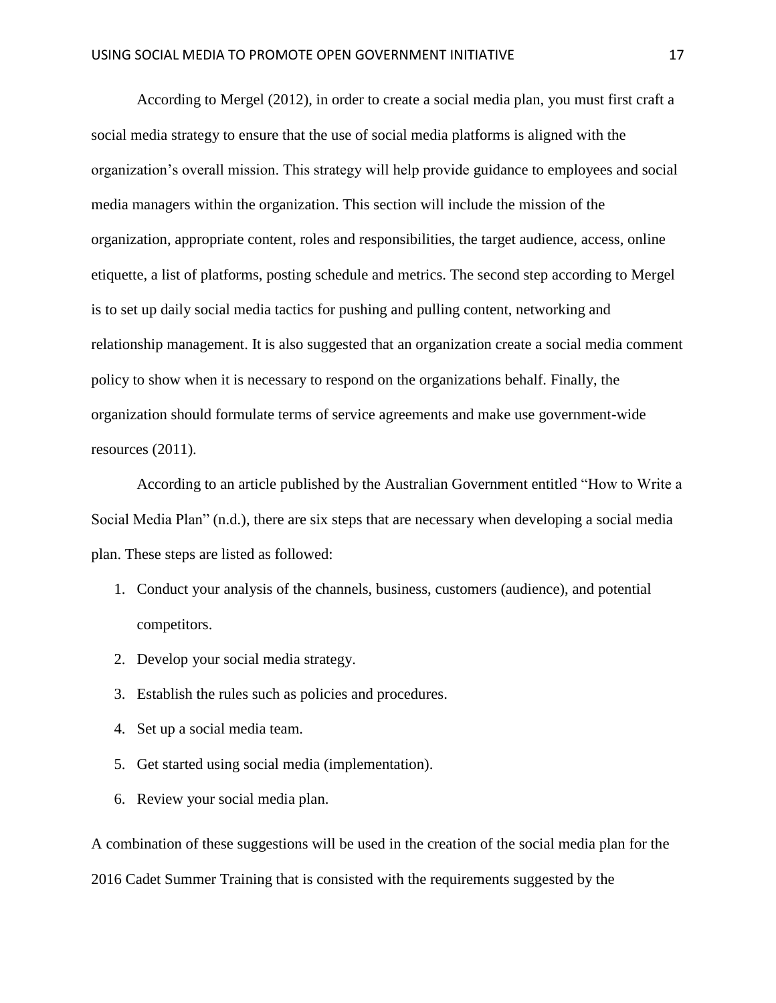According to Mergel (2012), in order to create a social media plan, you must first craft a social media strategy to ensure that the use of social media platforms is aligned with the organization's overall mission. This strategy will help provide guidance to employees and social media managers within the organization. This section will include the mission of the organization, appropriate content, roles and responsibilities, the target audience, access, online etiquette, a list of platforms, posting schedule and metrics. The second step according to Mergel is to set up daily social media tactics for pushing and pulling content, networking and relationship management. It is also suggested that an organization create a social media comment policy to show when it is necessary to respond on the organizations behalf. Finally, the organization should formulate terms of service agreements and make use government-wide resources (2011).

According to an article published by the Australian Government entitled "How to Write a Social Media Plan" (n.d.), there are six steps that are necessary when developing a social media plan. These steps are listed as followed:

- 1. Conduct your analysis of the channels, business, customers (audience), and potential competitors.
- 2. Develop your social media strategy.
- 3. Establish the rules such as policies and procedures.
- 4. Set up a social media team.
- 5. Get started using social media (implementation).
- 6. Review your social media plan.

A combination of these suggestions will be used in the creation of the social media plan for the 2016 Cadet Summer Training that is consisted with the requirements suggested by the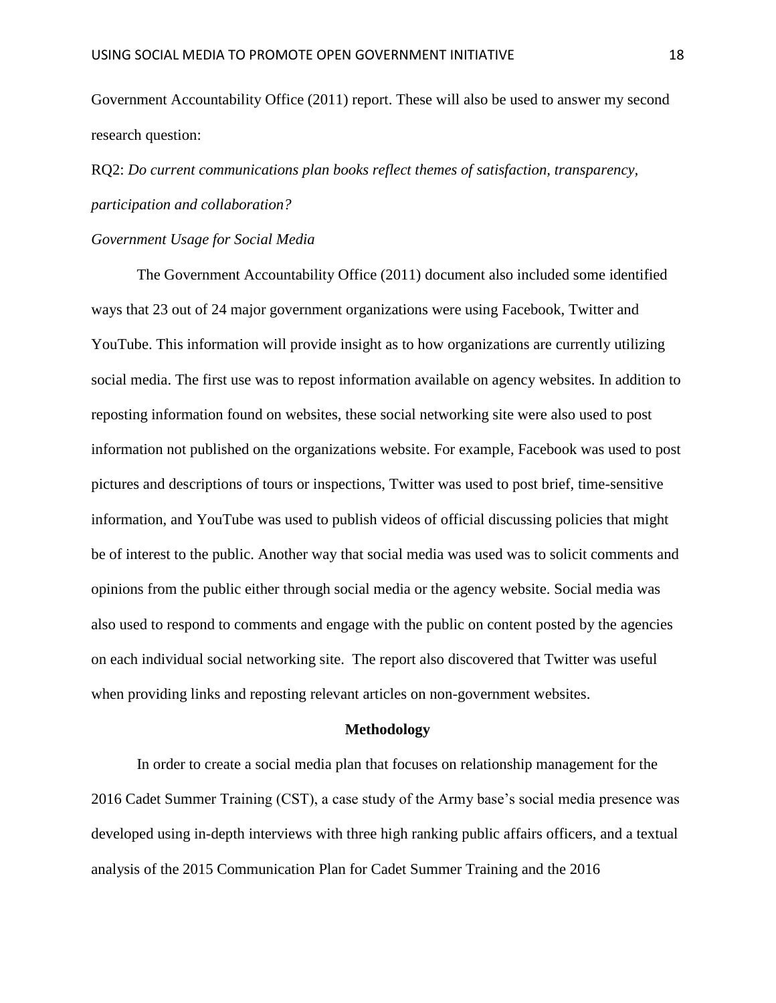Government Accountability Office (2011) report. These will also be used to answer my second research question:

RQ2: *Do current communications plan books reflect themes of satisfaction, transparency, participation and collaboration?*

#### *Government Usage for Social Media*

The Government Accountability Office (2011) document also included some identified ways that 23 out of 24 major government organizations were using Facebook, Twitter and YouTube. This information will provide insight as to how organizations are currently utilizing social media. The first use was to repost information available on agency websites. In addition to reposting information found on websites, these social networking site were also used to post information not published on the organizations website. For example, Facebook was used to post pictures and descriptions of tours or inspections, Twitter was used to post brief, time-sensitive information, and YouTube was used to publish videos of official discussing policies that might be of interest to the public. Another way that social media was used was to solicit comments and opinions from the public either through social media or the agency website. Social media was also used to respond to comments and engage with the public on content posted by the agencies on each individual social networking site. The report also discovered that Twitter was useful when providing links and reposting relevant articles on non-government websites.

#### **Methodology**

In order to create a social media plan that focuses on relationship management for the 2016 Cadet Summer Training (CST), a case study of the Army base's social media presence was developed using in-depth interviews with three high ranking public affairs officers, and a textual analysis of the 2015 Communication Plan for Cadet Summer Training and the 2016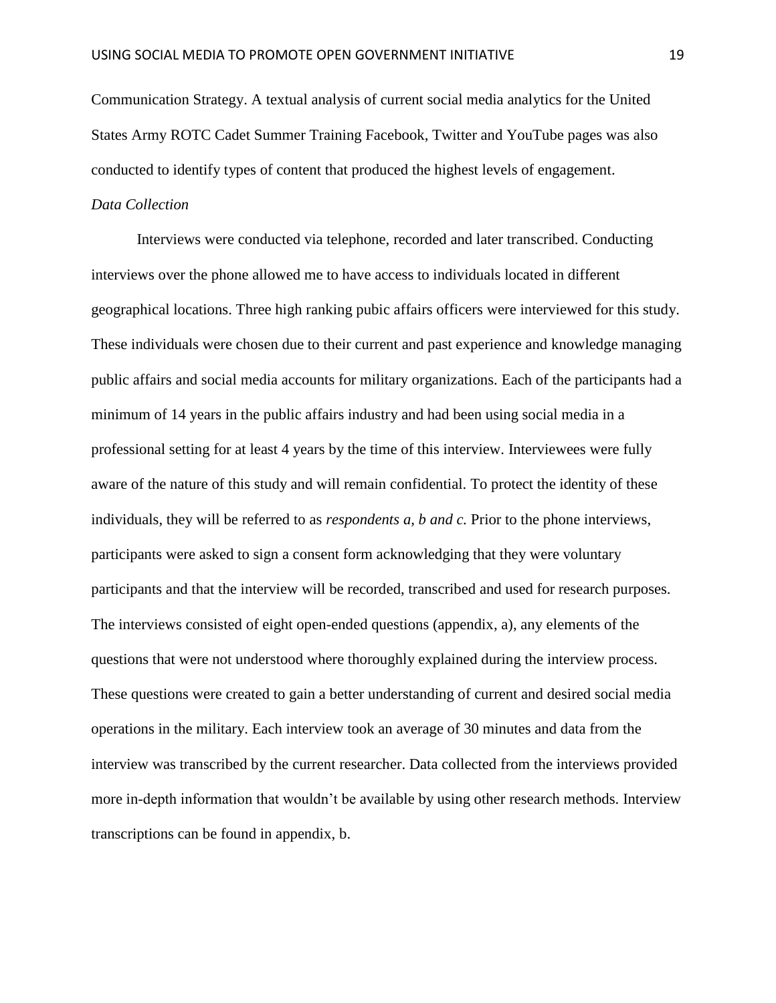Communication Strategy. A textual analysis of current social media analytics for the United States Army ROTC Cadet Summer Training Facebook, Twitter and YouTube pages was also conducted to identify types of content that produced the highest levels of engagement.

# *Data Collection*

Interviews were conducted via telephone, recorded and later transcribed. Conducting interviews over the phone allowed me to have access to individuals located in different geographical locations. Three high ranking pubic affairs officers were interviewed for this study. These individuals were chosen due to their current and past experience and knowledge managing public affairs and social media accounts for military organizations. Each of the participants had a minimum of 14 years in the public affairs industry and had been using social media in a professional setting for at least 4 years by the time of this interview. Interviewees were fully aware of the nature of this study and will remain confidential. To protect the identity of these individuals, they will be referred to as *respondents a, b and c.* Prior to the phone interviews, participants were asked to sign a consent form acknowledging that they were voluntary participants and that the interview will be recorded, transcribed and used for research purposes. The interviews consisted of eight open-ended questions (appendix, a), any elements of the questions that were not understood where thoroughly explained during the interview process. These questions were created to gain a better understanding of current and desired social media operations in the military. Each interview took an average of 30 minutes and data from the interview was transcribed by the current researcher. Data collected from the interviews provided more in-depth information that wouldn't be available by using other research methods. Interview transcriptions can be found in appendix, b.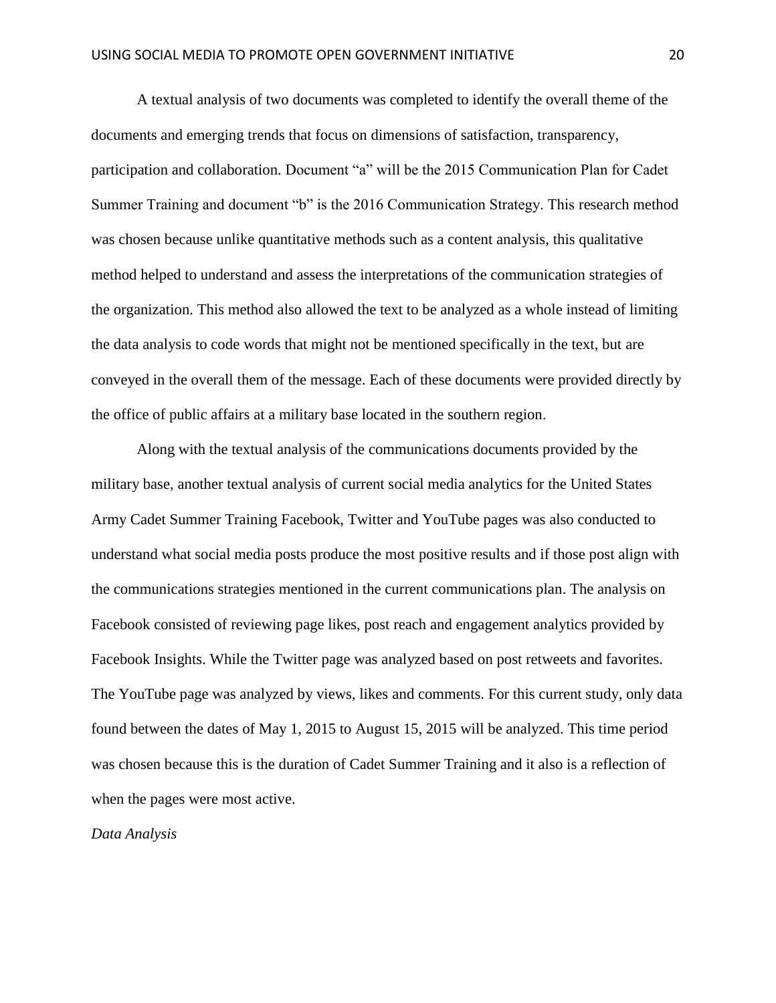A textual analysis of two documents was completed to identify the overall theme of the documents and emerging trends that focus on dimensions of satisfaction, transparency, participation and collaboration. Document "a" will be the 2015 Communication Plan for Cadet Summer Training and document "b" is the 2016 Communication Strategy. This research method was chosen because unlike quantitative methods such as a content analysis, this qualitative method helped to understand and assess the interpretations of the communication strategies of the organization. This method also allowed the text to be analyzed as a whole instead of limiting the data analysis to code words that might not be mentioned specifically in the text, but are conveyed in the overall them of the message. Each of these documents were provided directly by the office of public affairs at a military base located in the southern region.

Along with the textual analysis of the communications documents provided by the military base, another textual analysis of current social media analytics for the United States Army Cadet Summer Training Facebook, Twitter and YouTube pages was also conducted to understand what social media posts produce the most positive results and if those post align with the communications strategies mentioned in the current communications plan. The analysis on Facebook consisted of reviewing page likes, post reach and engagement analytics provided by Facebook Insights. While the Twitter page was analyzed based on post retweets and favorites. The YouTube page was analyzed by views, likes and comments. For this current study, only data found between the dates of May 1, 2015 to August 15, 2015 will be analyzed. This time period was chosen because this is the duration of Cadet Summer Training and it also is a reflection of when the pages were most active.

#### *Data Analysis*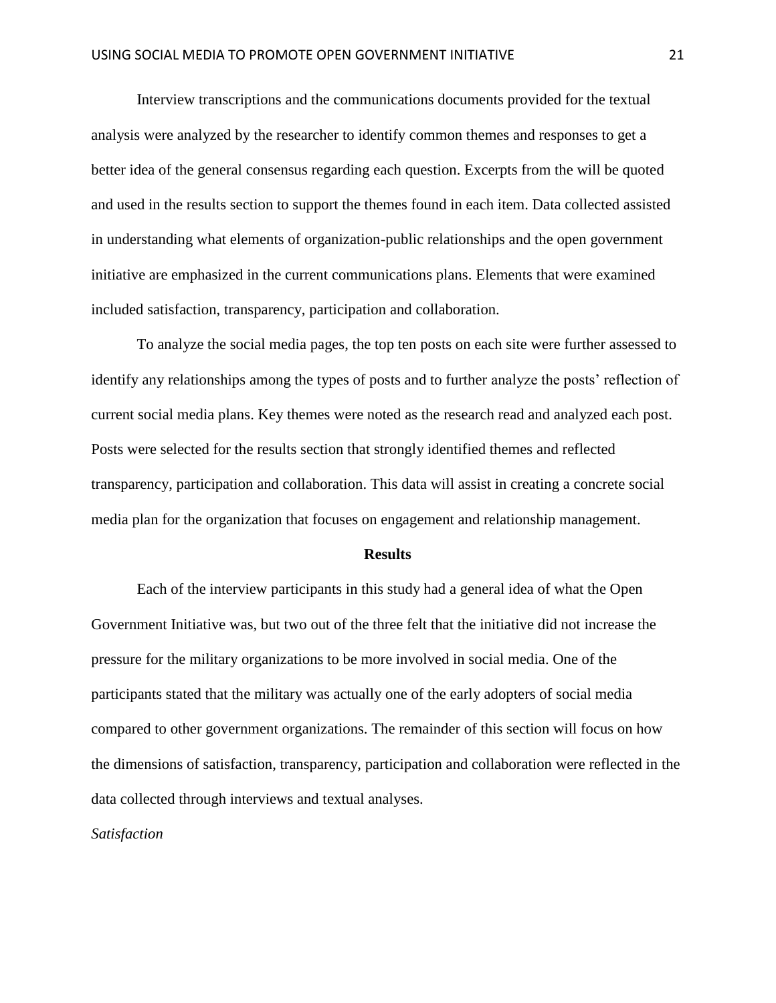Interview transcriptions and the communications documents provided for the textual analysis were analyzed by the researcher to identify common themes and responses to get a better idea of the general consensus regarding each question. Excerpts from the will be quoted and used in the results section to support the themes found in each item. Data collected assisted in understanding what elements of organization-public relationships and the open government initiative are emphasized in the current communications plans. Elements that were examined included satisfaction, transparency, participation and collaboration.

To analyze the social media pages, the top ten posts on each site were further assessed to identify any relationships among the types of posts and to further analyze the posts' reflection of current social media plans. Key themes were noted as the research read and analyzed each post. Posts were selected for the results section that strongly identified themes and reflected transparency, participation and collaboration. This data will assist in creating a concrete social media plan for the organization that focuses on engagement and relationship management.

#### **Results**

Each of the interview participants in this study had a general idea of what the Open Government Initiative was, but two out of the three felt that the initiative did not increase the pressure for the military organizations to be more involved in social media. One of the participants stated that the military was actually one of the early adopters of social media compared to other government organizations. The remainder of this section will focus on how the dimensions of satisfaction, transparency, participation and collaboration were reflected in the data collected through interviews and textual analyses.

*Satisfaction*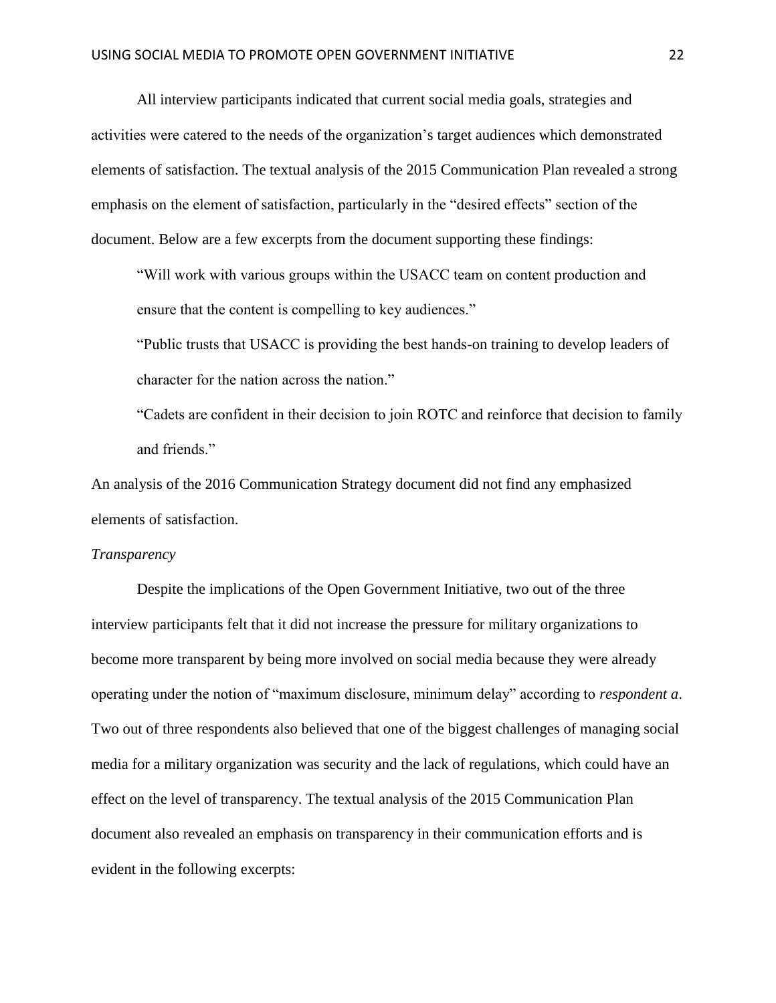All interview participants indicated that current social media goals, strategies and activities were catered to the needs of the organization's target audiences which demonstrated elements of satisfaction. The textual analysis of the 2015 Communication Plan revealed a strong emphasis on the element of satisfaction, particularly in the "desired effects" section of the document. Below are a few excerpts from the document supporting these findings:

"Will work with various groups within the USACC team on content production and ensure that the content is compelling to key audiences."

"Public trusts that USACC is providing the best hands-on training to develop leaders of character for the nation across the nation."

"Cadets are confident in their decision to join ROTC and reinforce that decision to family and friends."

An analysis of the 2016 Communication Strategy document did not find any emphasized elements of satisfaction.

#### *Transparency*

Despite the implications of the Open Government Initiative, two out of the three interview participants felt that it did not increase the pressure for military organizations to become more transparent by being more involved on social media because they were already operating under the notion of "maximum disclosure, minimum delay" according to *respondent a*. Two out of three respondents also believed that one of the biggest challenges of managing social media for a military organization was security and the lack of regulations, which could have an effect on the level of transparency. The textual analysis of the 2015 Communication Plan document also revealed an emphasis on transparency in their communication efforts and is evident in the following excerpts: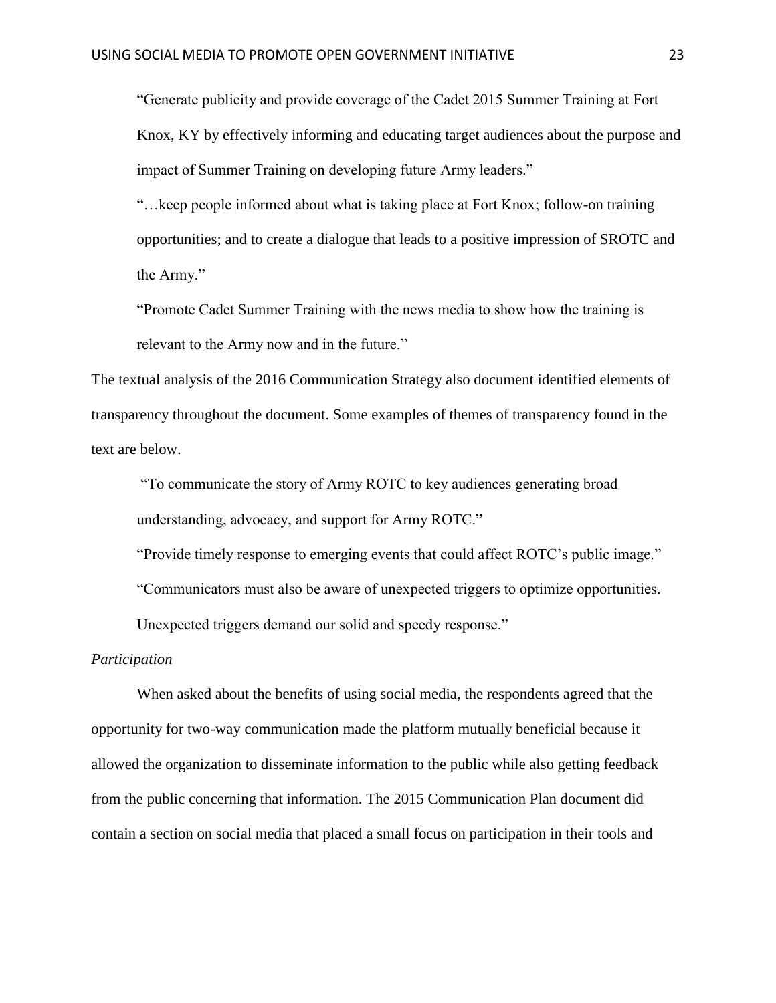"Generate publicity and provide coverage of the Cadet 2015 Summer Training at Fort Knox, KY by effectively informing and educating target audiences about the purpose and impact of Summer Training on developing future Army leaders."

"…keep people informed about what is taking place at Fort Knox; follow-on training opportunities; and to create a dialogue that leads to a positive impression of SROTC and the Army."

"Promote Cadet Summer Training with the news media to show how the training is relevant to the Army now and in the future."

The textual analysis of the 2016 Communication Strategy also document identified elements of transparency throughout the document. Some examples of themes of transparency found in the text are below.

"To communicate the story of Army ROTC to key audiences generating broad understanding, advocacy, and support for Army ROTC."

"Provide timely response to emerging events that could affect ROTC's public image."

"Communicators must also be aware of unexpected triggers to optimize opportunities.

Unexpected triggers demand our solid and speedy response."

# *Participation*

When asked about the benefits of using social media, the respondents agreed that the opportunity for two-way communication made the platform mutually beneficial because it allowed the organization to disseminate information to the public while also getting feedback from the public concerning that information. The 2015 Communication Plan document did contain a section on social media that placed a small focus on participation in their tools and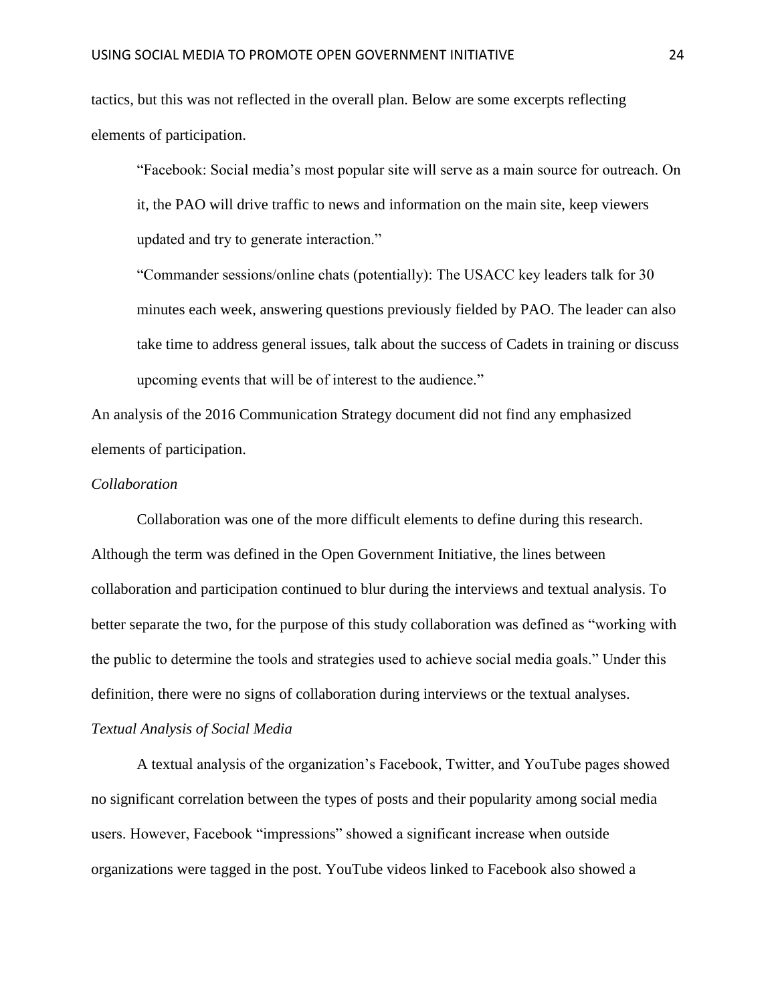tactics, but this was not reflected in the overall plan. Below are some excerpts reflecting elements of participation.

"Facebook: Social media's most popular site will serve as a main source for outreach. On it, the PAO will drive traffic to news and information on the main site, keep viewers updated and try to generate interaction."

"Commander sessions/online chats (potentially): The USACC key leaders talk for 30 minutes each week, answering questions previously fielded by PAO. The leader can also take time to address general issues, talk about the success of Cadets in training or discuss upcoming events that will be of interest to the audience."

An analysis of the 2016 Communication Strategy document did not find any emphasized elements of participation.

## *Collaboration*

Collaboration was one of the more difficult elements to define during this research. Although the term was defined in the Open Government Initiative, the lines between collaboration and participation continued to blur during the interviews and textual analysis. To better separate the two, for the purpose of this study collaboration was defined as "working with the public to determine the tools and strategies used to achieve social media goals." Under this definition, there were no signs of collaboration during interviews or the textual analyses.

# *Textual Analysis of Social Media*

A textual analysis of the organization's Facebook, Twitter, and YouTube pages showed no significant correlation between the types of posts and their popularity among social media users. However, Facebook "impressions" showed a significant increase when outside organizations were tagged in the post. YouTube videos linked to Facebook also showed a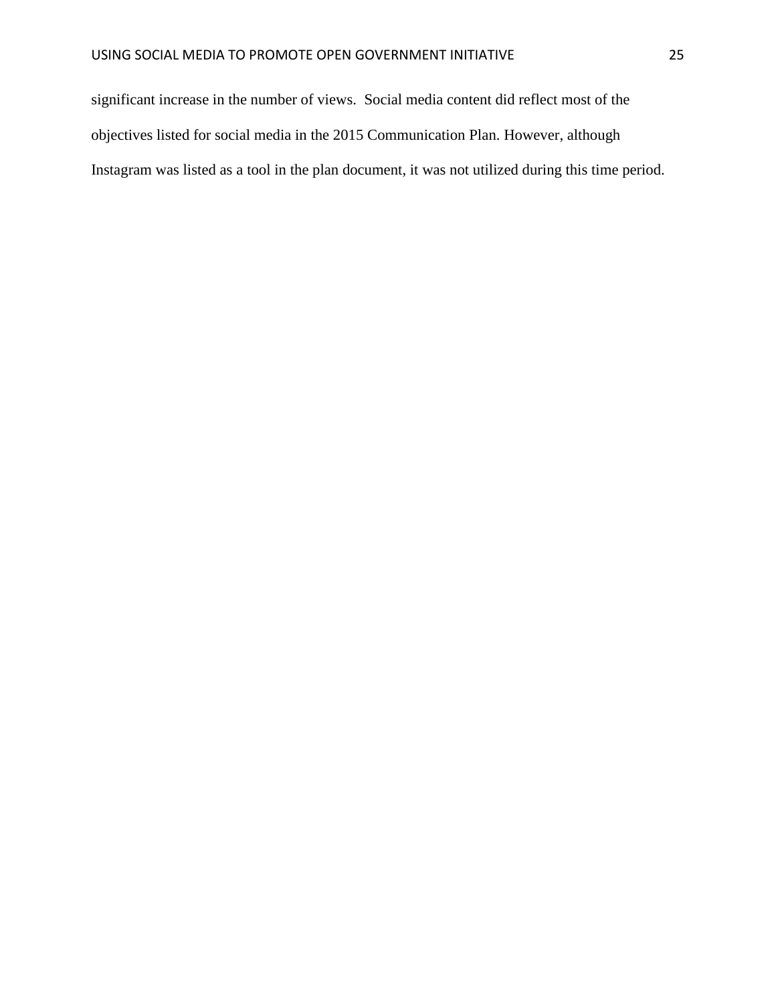significant increase in the number of views. Social media content did reflect most of the objectives listed for social media in the 2015 Communication Plan. However, although Instagram was listed as a tool in the plan document, it was not utilized during this time period.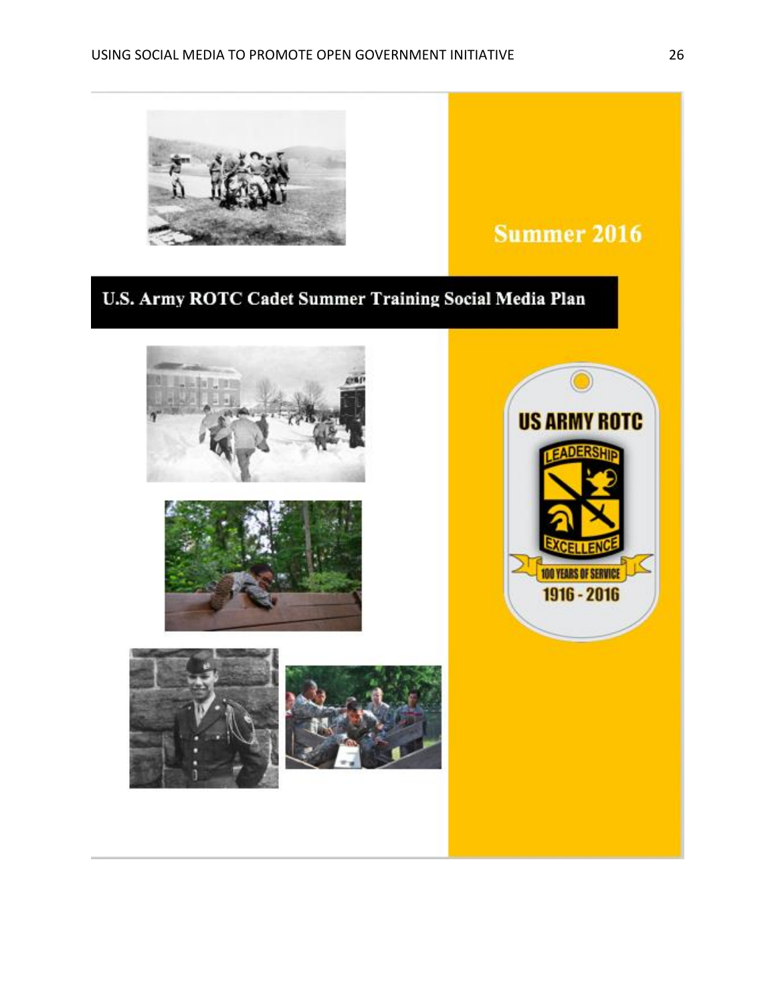

# **Summer 2016**

# U.S. Army ROTC Cadet Summer Training Social Media Plan









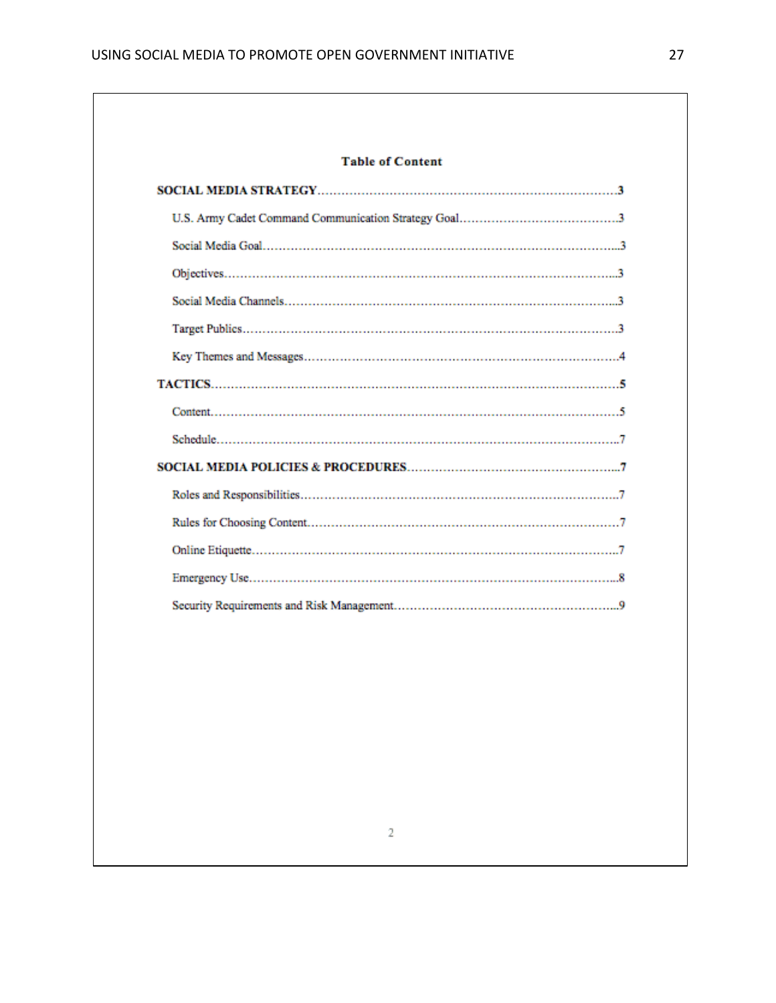# **Table of Content**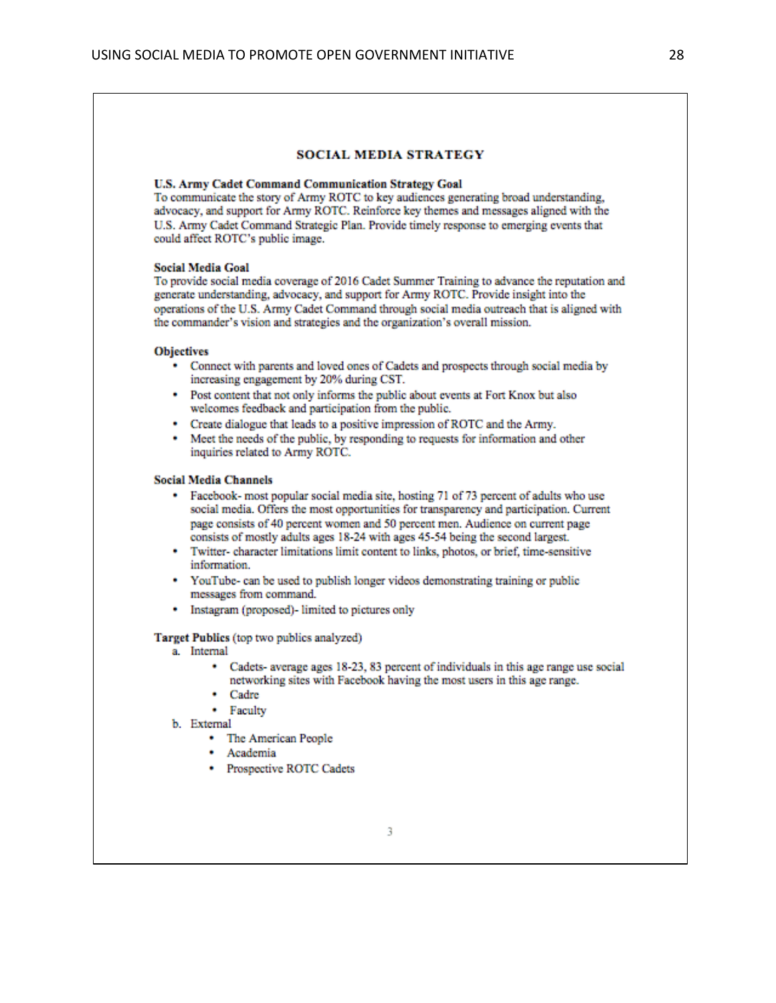#### **SOCIAL MEDIA STRATEGY**

#### **U.S. Army Cadet Command Communication Strategy Goal**

To communicate the story of Army ROTC to key audiences generating broad understanding. advocacy, and support for Army ROTC. Reinforce key themes and messages aligned with the U.S. Army Cadet Command Strategic Plan. Provide timely response to emerging events that could affect ROTC's public image.

#### **Social Media Goal**

To provide social media coverage of 2016 Cadet Summer Training to advance the reputation and generate understanding, advocacy, and support for Army ROTC. Provide insight into the operations of the U.S. Army Cadet Command through social media outreach that is aligned with the commander's vision and strategies and the organization's overall mission.

#### **Objectives**

- Connect with parents and loved ones of Cadets and prospects through social media by increasing engagement by 20% during CST.
- Post content that not only informs the public about events at Fort Knox but also welcomes feedback and participation from the public.
- Create dialogue that leads to a positive impression of ROTC and the Army.
- Meet the needs of the public, by responding to requests for information and other inquiries related to Army ROTC.

#### **Social Media Channels**

- Facebook- most popular social media site, hosting 71 of 73 percent of adults who use social media. Offers the most opportunities for transparency and participation. Current page consists of 40 percent women and 50 percent men. Audience on current page consists of mostly adults ages 18-24 with ages 45-54 being the second largest.
- Twitter- character limitations limit content to links, photos, or brief, time-sensitive information.
- YouTube- can be used to publish longer videos demonstrating training or public messages from command.
- Instagram (proposed)- limited to pictures only

#### Target Publics (top two publics analyzed)

- a. Internal
	- Cadets- average ages 18-23, 83 percent of individuals in this age range use social networking sites with Facebook having the most users in this age range.
	- Cadre
	- Faculty
- b. External
	- The American People
	- · Academia
	- Prospective ROTC Cadets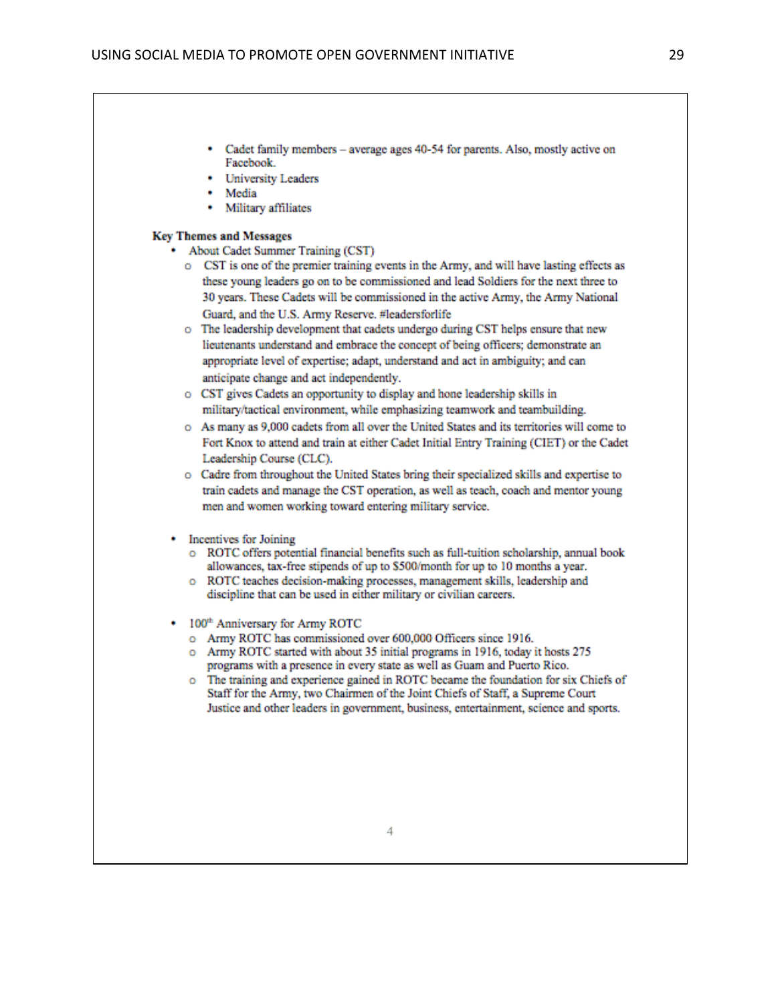- Cadet family members average ages 40-54 for parents. Also, mostly active on Facebook.
- University Leaders
- Media
- Military affiliates

#### **Key Themes and Messages**

- About Cadet Summer Training (CST)
	- o CST is one of the premier training events in the Army, and will have lasting effects as these young leaders go on to be commissioned and lead Soldiers for the next three to 30 years. These Cadets will be commissioned in the active Army, the Army National Guard, and the U.S. Army Reserve. #leadersforlife
	- o The leadership development that cadets undergo during CST helps ensure that new lieutenants understand and embrace the concept of being officers; demonstrate an appropriate level of expertise; adapt, understand and act in ambiguity; and can anticipate change and act independently.
	- o CST gives Cadets an opportunity to display and hone leadership skills in military/tactical environment, while emphasizing teamwork and teambuilding.
	- o As many as 9,000 cadets from all over the United States and its territories will come to Fort Knox to attend and train at either Cadet Initial Entry Training (CIET) or the Cadet Leadership Course (CLC).
	- o Cadre from throughout the United States bring their specialized skills and expertise to train cadets and manage the CST operation, as well as teach, coach and mentor young men and women working toward entering military service.
- Incentives for Joining
	- o ROTC offers potential financial benefits such as full-tuition scholarship, annual book allowances, tax-free stipends of up to \$500/month for up to 10 months a year.
	- o ROTC teaches decision-making processes, management skills, leadership and discipline that can be used in either military or civilian careers.
- 100<sup>th</sup> Anniversary for Army ROTC
	- o Army ROTC has commissioned over 600,000 Officers since 1916.
	- o Army ROTC started with about 35 initial programs in 1916, today it hosts 275 programs with a presence in every state as well as Guam and Puerto Rico.
	- o The training and experience gained in ROTC became the foundation for six Chiefs of Staff for the Army, two Chairmen of the Joint Chiefs of Staff, a Supreme Court Justice and other leaders in government, business, entertainment, science and sports.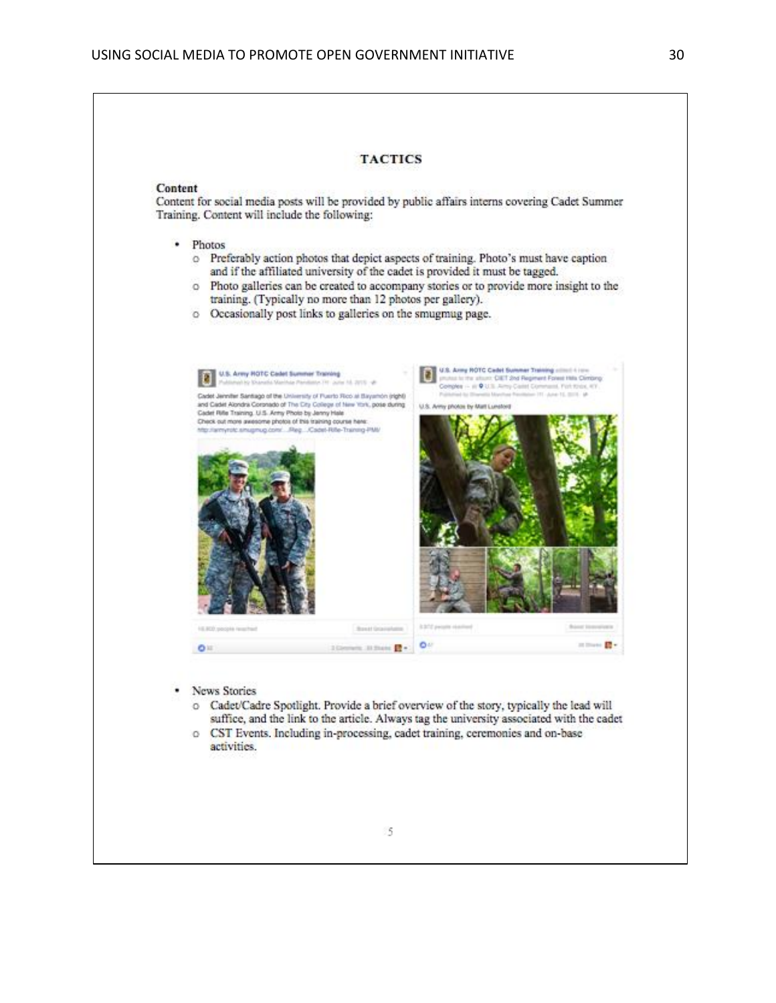#### Content

Content for social media posts will be provided by public affairs interns covering Cadet Summer Training. Content will include the following:

- · Photos
	- o Preferably action photos that depict aspects of training. Photo's must have caption and if the affiliated university of the cadet is provided it must be tagged.
	- o Photo galleries can be created to accompany stories or to provide more insight to the training. (Typically no more than 12 photos per gallery).
	- o Occasionally post links to galleries on the smugmug page.



- News Stories
	- o Cadet/Cadre Spotlight. Provide a brief overview of the story, typically the lead will suffice, and the link to the article. Always tag the university associated with the cadet o CST Events. Including in-processing, cadet training, ceremonies and on-base
	- activities.

15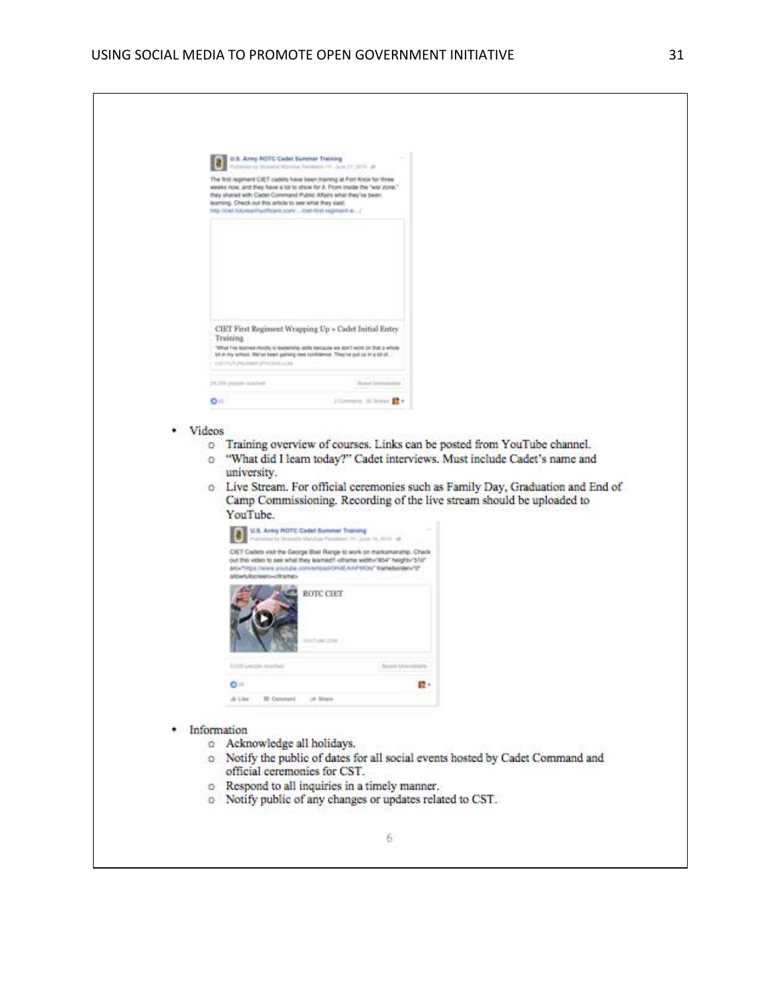|               | U.S. Army ROTC Cadel Summer Training                                                                                                                                                      | and his Struggeling Marringan Precomputer (19) Julied 27, 20125 - 68                                                                                                                                                                                                                                                                    |    |  |
|---------------|-------------------------------------------------------------------------------------------------------------------------------------------------------------------------------------------|-----------------------------------------------------------------------------------------------------------------------------------------------------------------------------------------------------------------------------------------------------------------------------------------------------------------------------------------|----|--|
|               | they shored with Cadet Command Public Affairs what they've been<br>learning. Check out this article to see what they eald:<br>http://cert.futureamiyothoels.com/  itsel-first-regiment-a/ | The first regiment CRIT cadets have been insining at Fort Knox for three<br>weeks now, and they have a lot to show for it. Prom inside the "war zone,"                                                                                                                                                                                  |    |  |
|               |                                                                                                                                                                                           |                                                                                                                                                                                                                                                                                                                                         |    |  |
|               | Training                                                                                                                                                                                  | CIET First Regiment Wrapping Up > Cadet Initial Entry<br>What I've learned mostly is teachering onlis because we don't work on that a whole<br>lot in my settool. We've been gaming new combiteries. They've put us in a lot of                                                                                                         |    |  |
|               | COT IT\T UNE ONMADER CONTINUES.                                                                                                                                                           |                                                                                                                                                                                                                                                                                                                                         |    |  |
|               | 28.291 jacquis vicaritati                                                                                                                                                                 | Bonal Lincolnship                                                                                                                                                                                                                                                                                                                       |    |  |
|               | o.                                                                                                                                                                                        | Historical Historic E.+                                                                                                                                                                                                                                                                                                                 |    |  |
| Videos<br>o   | university.<br>YouTube.                                                                                                                                                                   | o Training overview of courses. Links can be posted from YouTube channel.<br>"What did I learn today?" Cadet interviews. Must include Cadet's name and<br>o Live Stream. For official ceremonies such as Family Day, Graduation and End of<br>Camp Commissioning. Recording of the live stream should be uploaded to                    |    |  |
|               |                                                                                                                                                                                           | U.S. Army ROTC Cadel Summer Training<br>Published by Dramato Edyl-Hug. Panalassy 791 June 12, 1014 (M)<br>CIET Cadets visit the George Blair Range to work on marksmanship. Check<br>out this video to see what they learned? «thame width»"854" height»"\$10"<br>\$50x79lb/s /sinns soulube intri-terrord/OHJEAHP9A3s" flameborder="0" |    |  |
|               | altxvNalscreens=cltrame>                                                                                                                                                                  | ROTC CIET<br><b>Hitchmode come</b>                                                                                                                                                                                                                                                                                                      |    |  |
|               |                                                                                                                                                                                           |                                                                                                                                                                                                                                                                                                                                         |    |  |
|               | 3.020 people leadfull                                                                                                                                                                     | <b>Benedict Advanced Art Con-</b>                                                                                                                                                                                                                                                                                                       |    |  |
|               | $O =$<br>de Libe : IR Comment : JA Share                                                                                                                                                  |                                                                                                                                                                                                                                                                                                                                         | 目・ |  |
|               |                                                                                                                                                                                           |                                                                                                                                                                                                                                                                                                                                         |    |  |
| · Information |                                                                                                                                                                                           |                                                                                                                                                                                                                                                                                                                                         |    |  |
|               | o Acknowledge all holidays.                                                                                                                                                               |                                                                                                                                                                                                                                                                                                                                         |    |  |
|               | official ceremonies for CST.                                                                                                                                                              | o Notify the public of dates for all social events hosted by Cadet Command and                                                                                                                                                                                                                                                          |    |  |
|               |                                                                                                                                                                                           | o Respond to all inquiries in a timely manner.<br>o Notify public of any changes or updates related to CST.                                                                                                                                                                                                                             |    |  |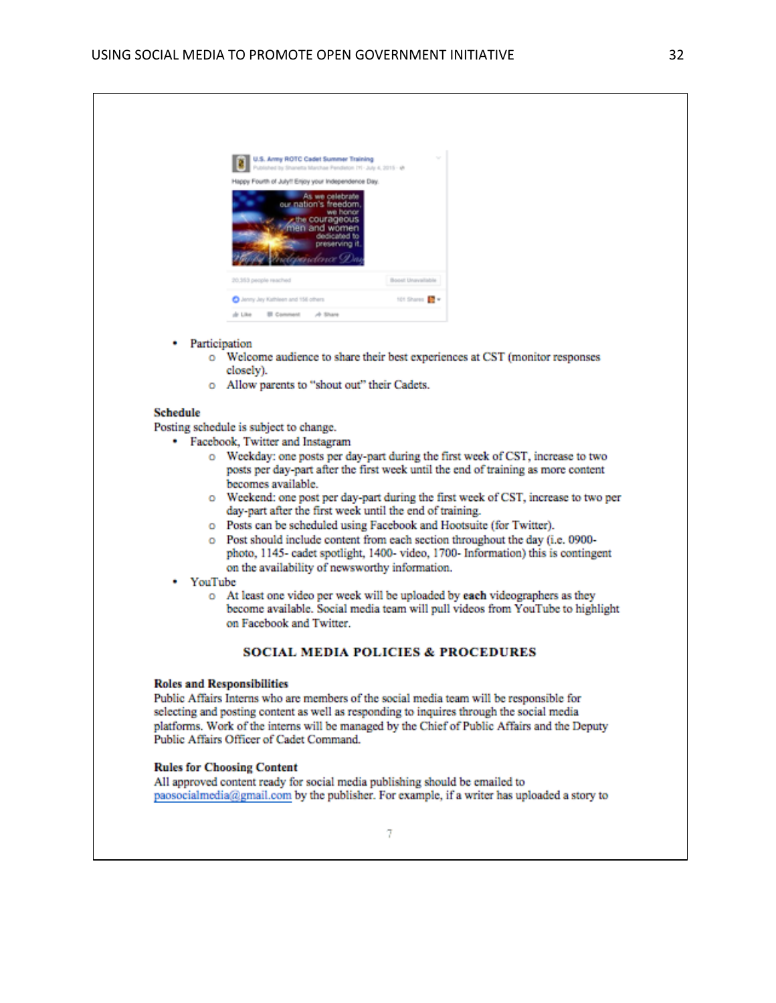| U.S. Army ROTC Cadet Summer Training<br>Published by Sharvetta Marchae Pendieton 111 - July 4, 2015 - W<br>Happy Fourth of July!! Enjoy your Independence Day. | $\sim$                 |
|----------------------------------------------------------------------------------------------------------------------------------------------------------------|------------------------|
| As we celebrate<br>our nation's freedom<br>we honor<br>cthe courageous<br>men and women<br>dedicated to<br>preserving it.<br><u>ulepen</u> dence Dui           |                        |
| 20.353 people reached                                                                                                                                          | Boost Unavailable      |
| Anny Jey Kathleen and 156 others                                                                                                                               | 101 Shares <b>17</b> * |
| de Like<br>El Comment di Share                                                                                                                                 |                        |

- Participation
	- o Welcome audience to share their best experiences at CST (monitor responses closely).
	- o Allow parents to "shout out" their Cadets.

#### **Schedule**

Posting schedule is subject to change.

- Facebook, Twitter and Instagram
	- o Weekday: one posts per day-part during the first week of CST, increase to two posts per day-part after the first week until the end of training as more content becomes available.
	- o Weekend: one post per day-part during the first week of CST, increase to two per day-part after the first week until the end of training.
	- o Posts can be scheduled using Facebook and Hootsuite (for Twitter).
	- o Post should include content from each section throughout the day (i.e. 0900photo, 1145- cadet spotlight, 1400- video, 1700- Information) this is contingent on the availability of newsworthy information.
- YouTube
	- o At least one video per week will be uploaded by each videographers as they become available. Social media team will pull videos from YouTube to highlight on Facebook and Twitter.

#### **SOCIAL MEDIA POLICIES & PROCEDURES**

#### **Roles and Responsibilities**

Public Affairs Interns who are members of the social media team will be responsible for selecting and posting content as well as responding to inquires through the social media platforms. Work of the interns will be managed by the Chief of Public Affairs and the Deputy Public Affairs Officer of Cadet Command.

#### **Rules for Choosing Content**

All approved content ready for social media publishing should be emailed to paosocialmedia@gmail.com by the publisher. For example, if a writer has uploaded a story to

7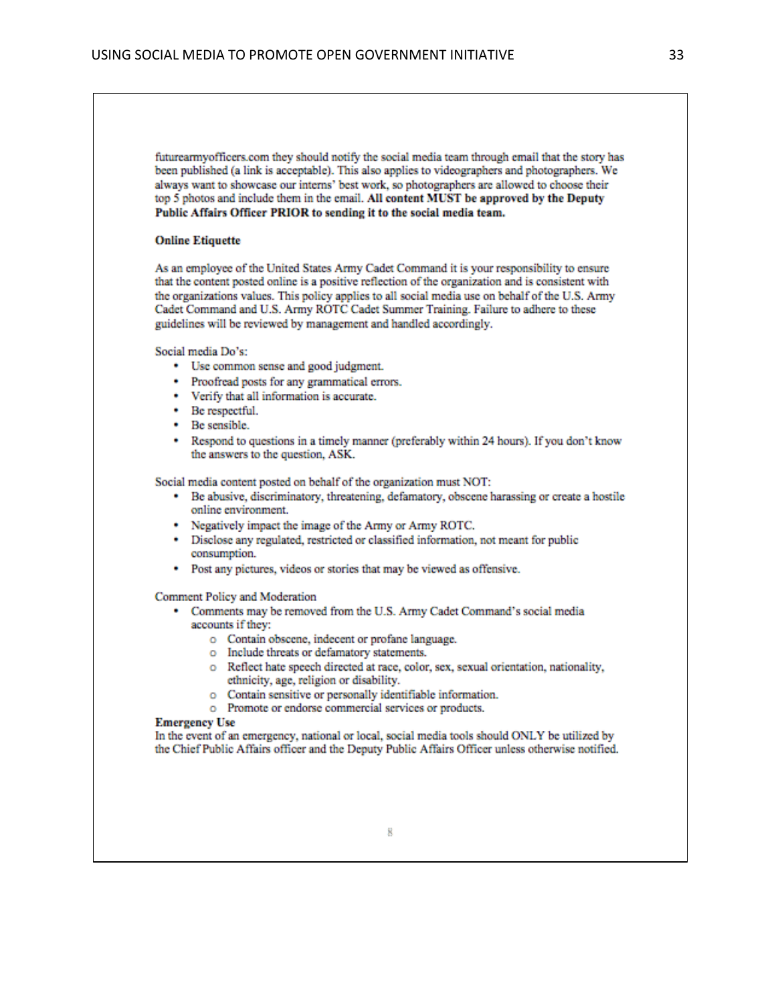futurearmyofficers.com they should notify the social media team through email that the story has been published (a link is acceptable). This also applies to videographers and photographers. We always want to showcase our interns' best work, so photographers are allowed to choose their top 5 photos and include them in the email. All content MUST be approved by the Deputy Public Affairs Officer PRIOR to sending it to the social media team.

#### **Online Etiquette**

As an employee of the United States Army Cadet Command it is your responsibility to ensure that the content posted online is a positive reflection of the organization and is consistent with the organizations values. This policy applies to all social media use on behalf of the U.S. Army Cadet Command and U.S. Army ROTC Cadet Summer Training. Failure to adhere to these guidelines will be reviewed by management and handled accordingly.

Social media Do's:

- Use common sense and good judgment.
- Proofread posts for any grammatical errors.
- Verify that all information is accurate.
- Be respectful.
- Be sensible.
- \* Respond to questions in a timely manner (preferably within 24 hours). If you don't know the answers to the question, ASK.

Social media content posted on behalf of the organization must NOT:

- Be abusive, discriminatory, threatening, defamatory, obscene harassing or create a hostile online environment.
- Negatively impact the image of the Army or Army ROTC.
- Disclose any regulated, restricted or classified information, not meant for public consumption.
- Post any pictures, videos or stories that may be viewed as offensive.

Comment Policy and Moderation

- Comments may be removed from the U.S. Army Cadet Command's social media accounts if they:
	- o Contain obscene, indecent or profane language.
	- o Include threats or defamatory statements.
	- o Reflect hate speech directed at race, color, sex, sexual orientation, nationality, ethnicity, age, religion or disability.
	- o Contain sensitive or personally identifiable information.
	- o Promote or endorse commercial services or products.

#### **Emergency Use**

In the event of an emergency, national or local, social media tools should ONLY be utilized by the Chief Public Affairs officer and the Deputy Public Affairs Officer unless otherwise notified.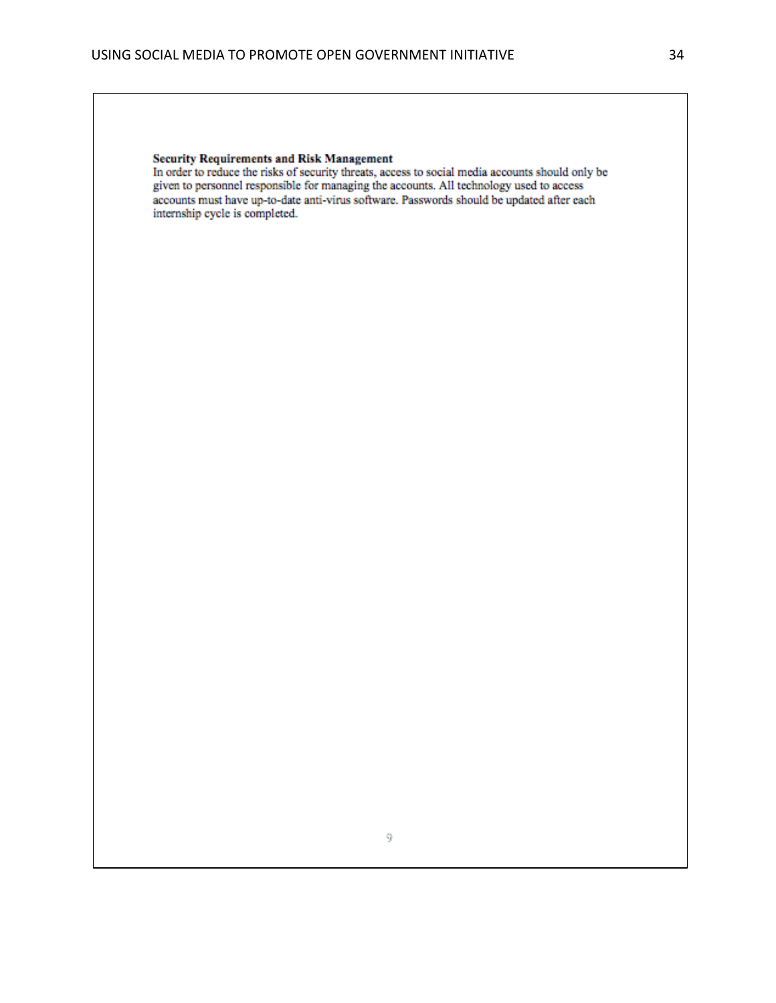#### **Security Requirements and Risk Management**

In order to reduce the risks of security threats, access to social media accounts should only be given to personnel responsible for managing the accounts. All technology used to access accounts must have up-to-date anti-virus software. Passwords should be updated after each internship cycle is completed.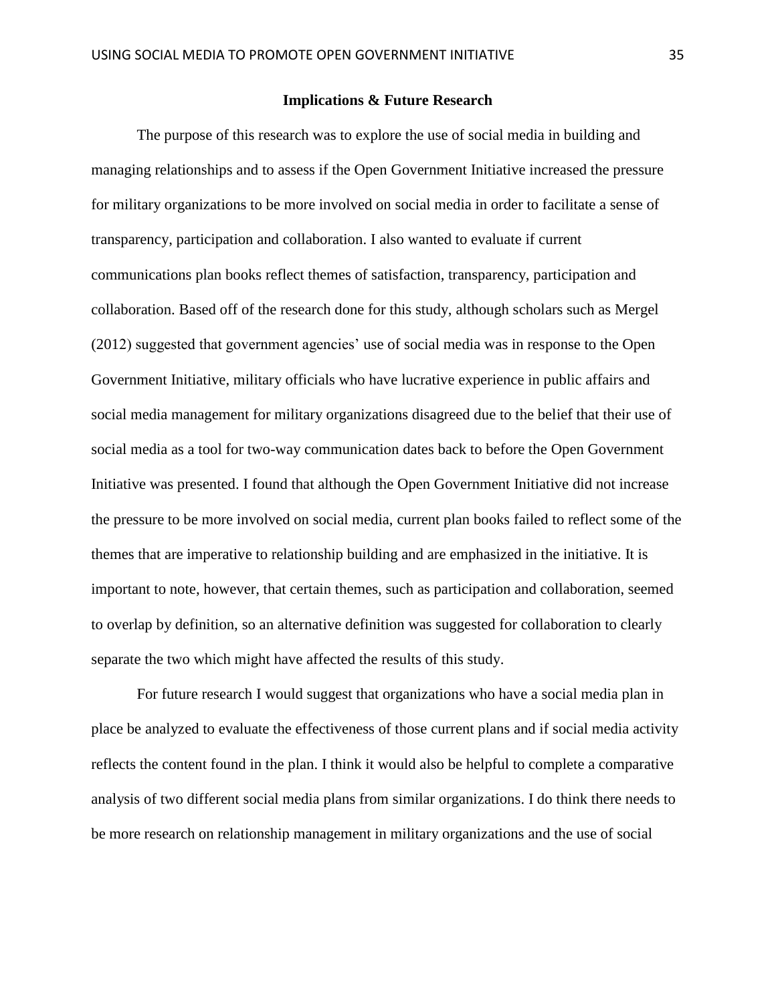#### **Implications & Future Research**

The purpose of this research was to explore the use of social media in building and managing relationships and to assess if the Open Government Initiative increased the pressure for military organizations to be more involved on social media in order to facilitate a sense of transparency, participation and collaboration. I also wanted to evaluate if current communications plan books reflect themes of satisfaction, transparency, participation and collaboration. Based off of the research done for this study, although scholars such as Mergel (2012) suggested that government agencies' use of social media was in response to the Open Government Initiative, military officials who have lucrative experience in public affairs and social media management for military organizations disagreed due to the belief that their use of social media as a tool for two-way communication dates back to before the Open Government Initiative was presented. I found that although the Open Government Initiative did not increase the pressure to be more involved on social media, current plan books failed to reflect some of the themes that are imperative to relationship building and are emphasized in the initiative. It is important to note, however, that certain themes, such as participation and collaboration, seemed to overlap by definition, so an alternative definition was suggested for collaboration to clearly separate the two which might have affected the results of this study.

For future research I would suggest that organizations who have a social media plan in place be analyzed to evaluate the effectiveness of those current plans and if social media activity reflects the content found in the plan. I think it would also be helpful to complete a comparative analysis of two different social media plans from similar organizations. I do think there needs to be more research on relationship management in military organizations and the use of social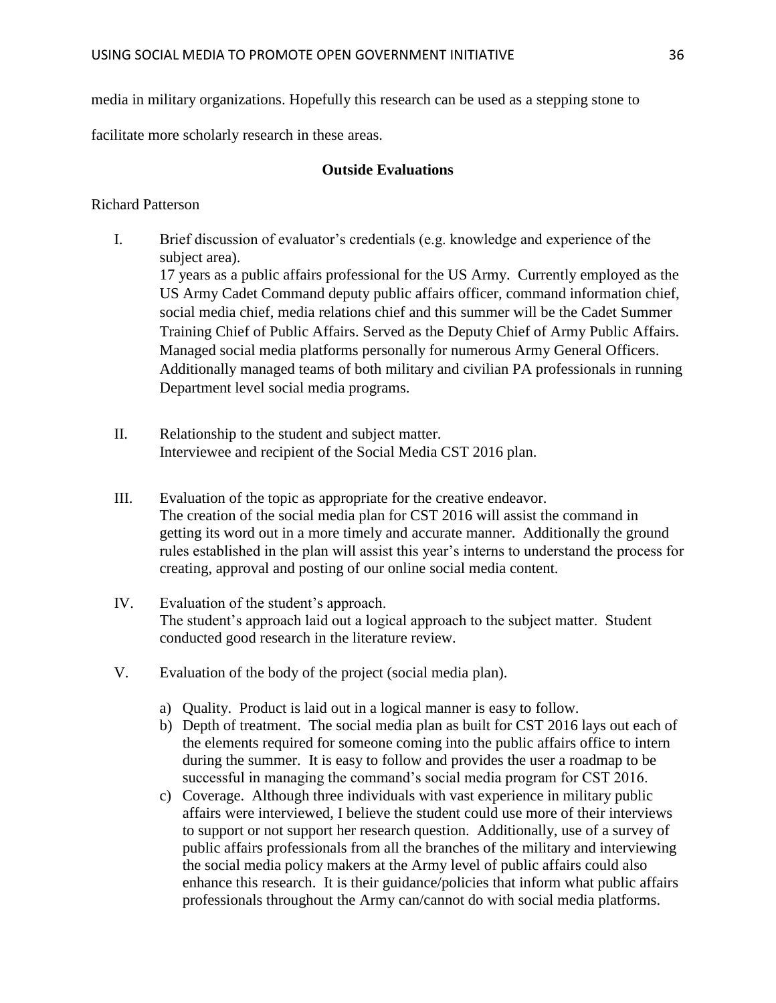media in military organizations. Hopefully this research can be used as a stepping stone to

facilitate more scholarly research in these areas.

# **Outside Evaluations**

# Richard Patterson

- I. Brief discussion of evaluator's credentials (e.g. knowledge and experience of the subject area). 17 years as a public affairs professional for the US Army. Currently employed as the US Army Cadet Command deputy public affairs officer, command information chief, social media chief, media relations chief and this summer will be the Cadet Summer Training Chief of Public Affairs. Served as the Deputy Chief of Army Public Affairs. Managed social media platforms personally for numerous Army General Officers. Additionally managed teams of both military and civilian PA professionals in running Department level social media programs.
- II. Relationship to the student and subject matter. Interviewee and recipient of the Social Media CST 2016 plan.
- III. Evaluation of the topic as appropriate for the creative endeavor. The creation of the social media plan for CST 2016 will assist the command in getting its word out in a more timely and accurate manner. Additionally the ground rules established in the plan will assist this year's interns to understand the process for creating, approval and posting of our online social media content.
- IV. Evaluation of the student's approach. The student's approach laid out a logical approach to the subject matter. Student conducted good research in the literature review.
- V. Evaluation of the body of the project (social media plan).
	- a) Quality. Product is laid out in a logical manner is easy to follow.
	- b) Depth of treatment. The social media plan as built for CST 2016 lays out each of the elements required for someone coming into the public affairs office to intern during the summer. It is easy to follow and provides the user a roadmap to be successful in managing the command's social media program for CST 2016.
	- c) Coverage. Although three individuals with vast experience in military public affairs were interviewed, I believe the student could use more of their interviews to support or not support her research question. Additionally, use of a survey of public affairs professionals from all the branches of the military and interviewing the social media policy makers at the Army level of public affairs could also enhance this research. It is their guidance/policies that inform what public affairs professionals throughout the Army can/cannot do with social media platforms.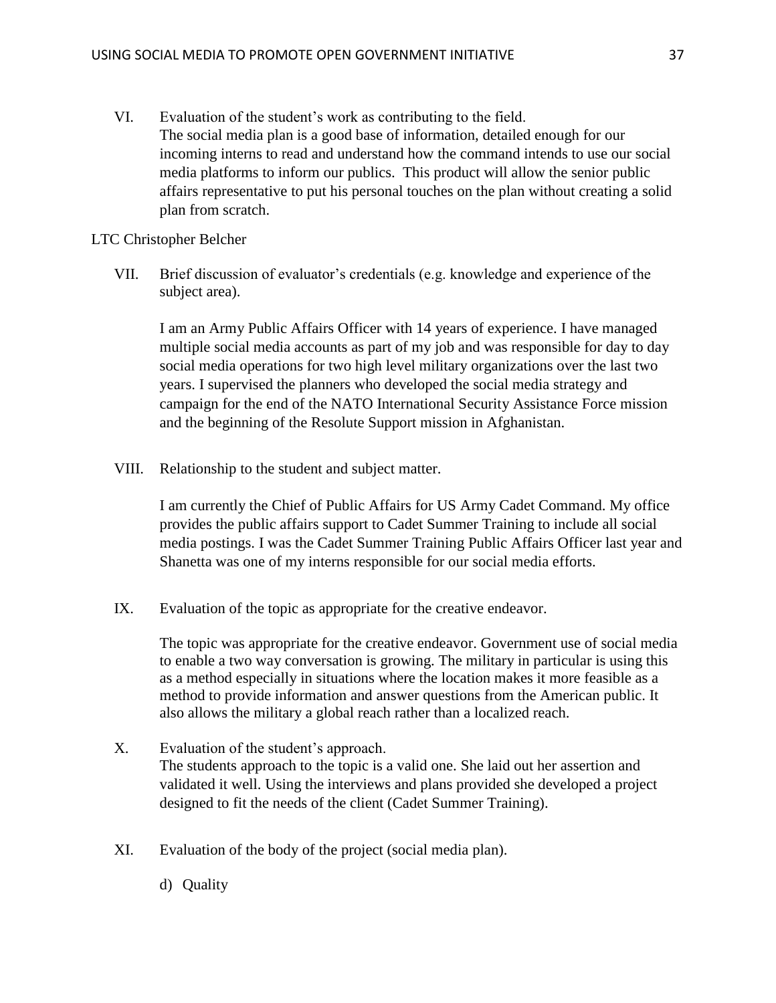VI. Evaluation of the student's work as contributing to the field. The social media plan is a good base of information, detailed enough for our incoming interns to read and understand how the command intends to use our social media platforms to inform our publics. This product will allow the senior public affairs representative to put his personal touches on the plan without creating a solid plan from scratch.

# LTC Christopher Belcher

VII. Brief discussion of evaluator's credentials (e.g. knowledge and experience of the subject area).

I am an Army Public Affairs Officer with 14 years of experience. I have managed multiple social media accounts as part of my job and was responsible for day to day social media operations for two high level military organizations over the last two years. I supervised the planners who developed the social media strategy and campaign for the end of the NATO International Security Assistance Force mission and the beginning of the Resolute Support mission in Afghanistan.

VIII. Relationship to the student and subject matter.

I am currently the Chief of Public Affairs for US Army Cadet Command. My office provides the public affairs support to Cadet Summer Training to include all social media postings. I was the Cadet Summer Training Public Affairs Officer last year and Shanetta was one of my interns responsible for our social media efforts.

IX. Evaluation of the topic as appropriate for the creative endeavor.

The topic was appropriate for the creative endeavor. Government use of social media to enable a two way conversation is growing. The military in particular is using this as a method especially in situations where the location makes it more feasible as a method to provide information and answer questions from the American public. It also allows the military a global reach rather than a localized reach.

- X. Evaluation of the student's approach. The students approach to the topic is a valid one. She laid out her assertion and validated it well. Using the interviews and plans provided she developed a project designed to fit the needs of the client (Cadet Summer Training).
- XI. Evaluation of the body of the project (social media plan).
	- d) Quality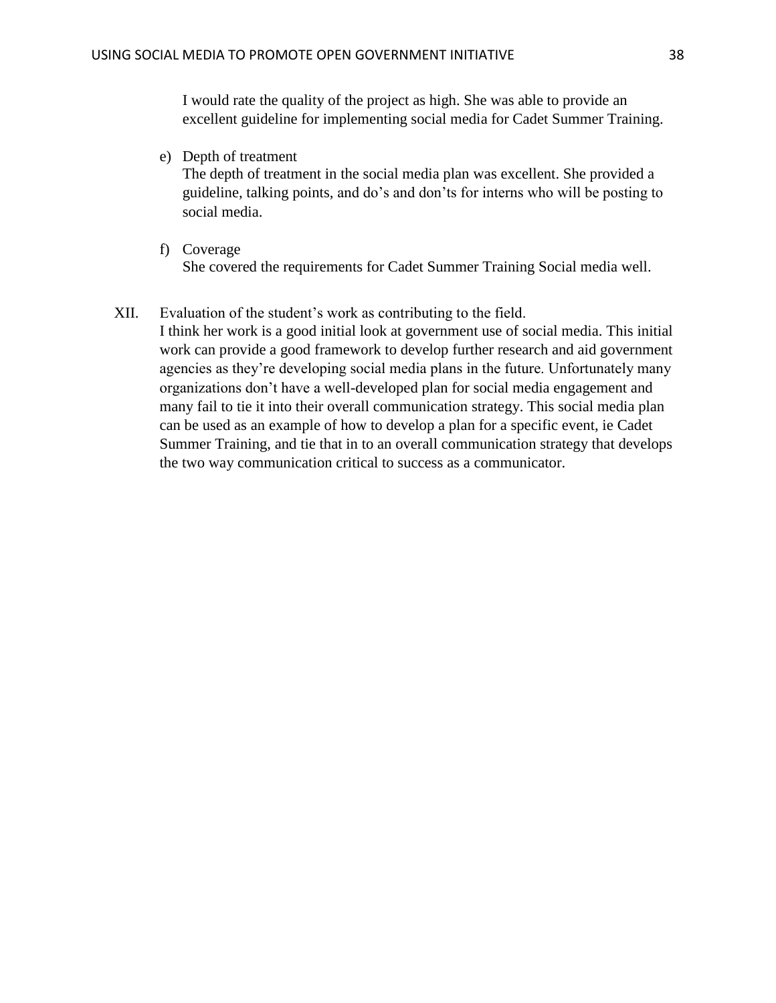I would rate the quality of the project as high. She was able to provide an excellent guideline for implementing social media for Cadet Summer Training.

e) Depth of treatment

The depth of treatment in the social media plan was excellent. She provided a guideline, talking points, and do's and don'ts for interns who will be posting to social media.

f) Coverage She covered the requirements for Cadet Summer Training Social media well.

# XII. Evaluation of the student's work as contributing to the field.

I think her work is a good initial look at government use of social media. This initial work can provide a good framework to develop further research and aid government agencies as they're developing social media plans in the future. Unfortunately many organizations don't have a well-developed plan for social media engagement and many fail to tie it into their overall communication strategy. This social media plan can be used as an example of how to develop a plan for a specific event, ie Cadet Summer Training, and tie that in to an overall communication strategy that develops the two way communication critical to success as a communicator.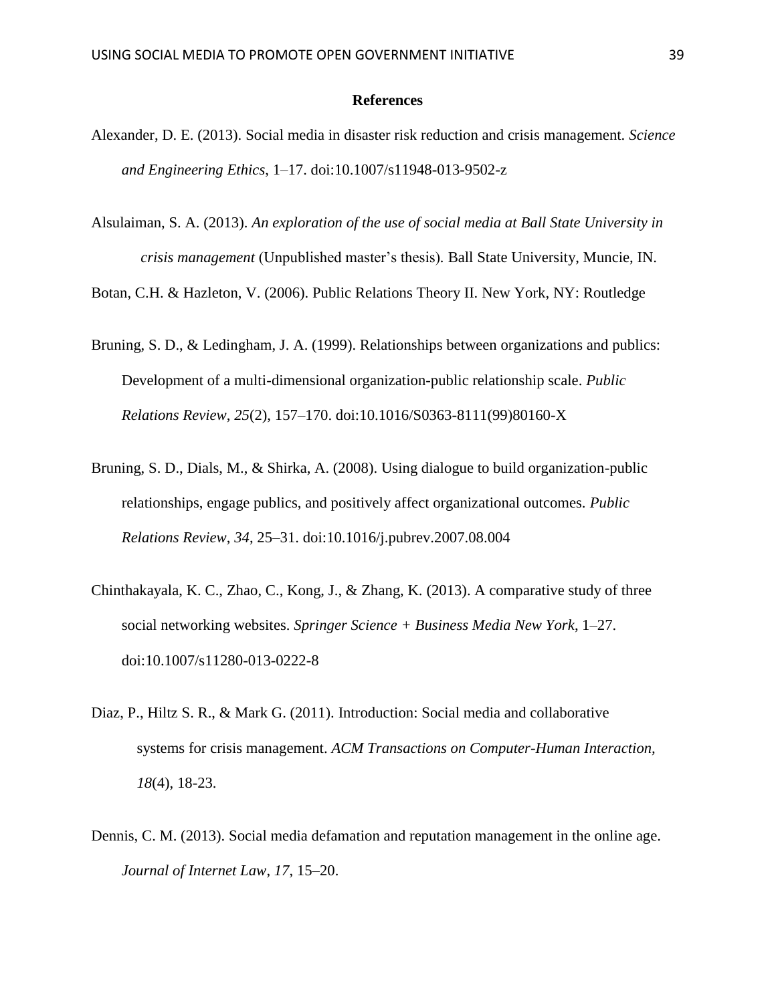#### **References**

- Alexander, D. E. (2013). Social media in disaster risk reduction and crisis management. *Science and Engineering Ethics*, 1–17. doi:10.1007/s11948-013-9502-z
- Alsulaiman, S. A. (2013). *An exploration of the use of social media at Ball State University in crisis management* (Unpublished master's thesis)*.* Ball State University, Muncie, IN.

Botan, C.H. & Hazleton, V. (2006). Public Relations Theory II. New York, NY: Routledge

- Bruning, S. D., & Ledingham, J. A. (1999). Relationships between organizations and publics: Development of a multi-dimensional organization-public relationship scale. *Public Relations Review*, *25*(2), 157–170. doi:10.1016/S0363-8111(99)80160-X
- Bruning, S. D., Dials, M., & Shirka, A. (2008). Using dialogue to build organization-public relationships, engage publics, and positively affect organizational outcomes. *Public Relations Review*, *34*, 25–31. doi:10.1016/j.pubrev.2007.08.004
- Chinthakayala, K. C., Zhao, C., Kong, J., & Zhang, K. (2013). A comparative study of three social networking websites. *Springer Science + Business Media New York*, 1–27. doi:10.1007/s11280-013-0222-8
- Diaz, P., Hiltz S. R., & Mark G. (2011). Introduction: Social media and collaborative systems for crisis management. *ACM Transactions on Computer-Human Interaction, 18*(4), 18-23.
- Dennis, C. M. (2013). Social media defamation and reputation management in the online age. *Journal of Internet Law*, *17*, 15–20.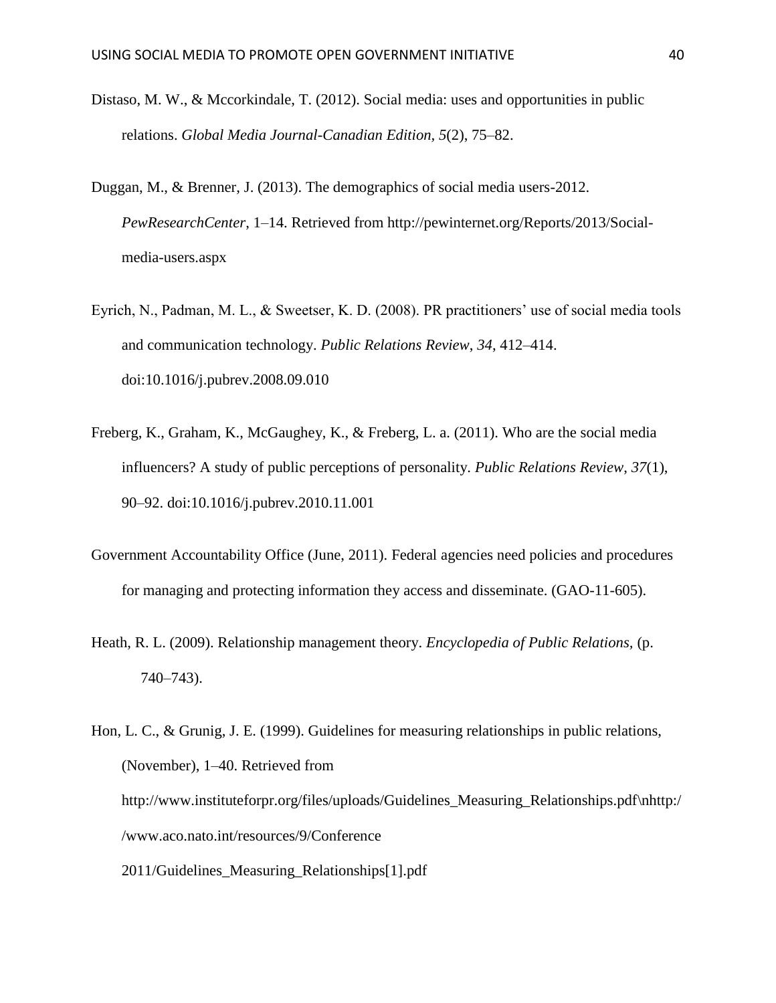- Distaso, M. W., & Mccorkindale, T. (2012). Social media: uses and opportunities in public relations. *Global Media Journal-Canadian Edition, 5*(2), 75–82.
- Duggan, M., & Brenner, J. (2013). The demographics of social media users-2012. *PewResearchCenter*, 1–14. Retrieved from http://pewinternet.org/Reports/2013/Socialmedia-users.aspx
- Eyrich, N., Padman, M. L., & Sweetser, K. D. (2008). PR practitioners' use of social media tools and communication technology. *Public Relations Review*, *34*, 412–414. doi:10.1016/j.pubrev.2008.09.010
- Freberg, K., Graham, K., McGaughey, K., & Freberg, L. a. (2011). Who are the social media influencers? A study of public perceptions of personality. *Public Relations Review*, *37*(1), 90–92. doi:10.1016/j.pubrev.2010.11.001
- Government Accountability Office (June, 2011). Federal agencies need policies and procedures for managing and protecting information they access and disseminate. (GAO-11-605).
- Heath, R. L. (2009). Relationship management theory. *Encyclopedia of Public Relations,* (p. 740–743).
- Hon, L. C., & Grunig, J. E. (1999). Guidelines for measuring relationships in public relations, (November), 1–40. Retrieved from http://www.instituteforpr.org/files/uploads/Guidelines\_Measuring\_Relationships.pdf\nhttp:/ /www.aco.nato.int/resources/9/Conference 2011/Guidelines\_Measuring\_Relationships[1].pdf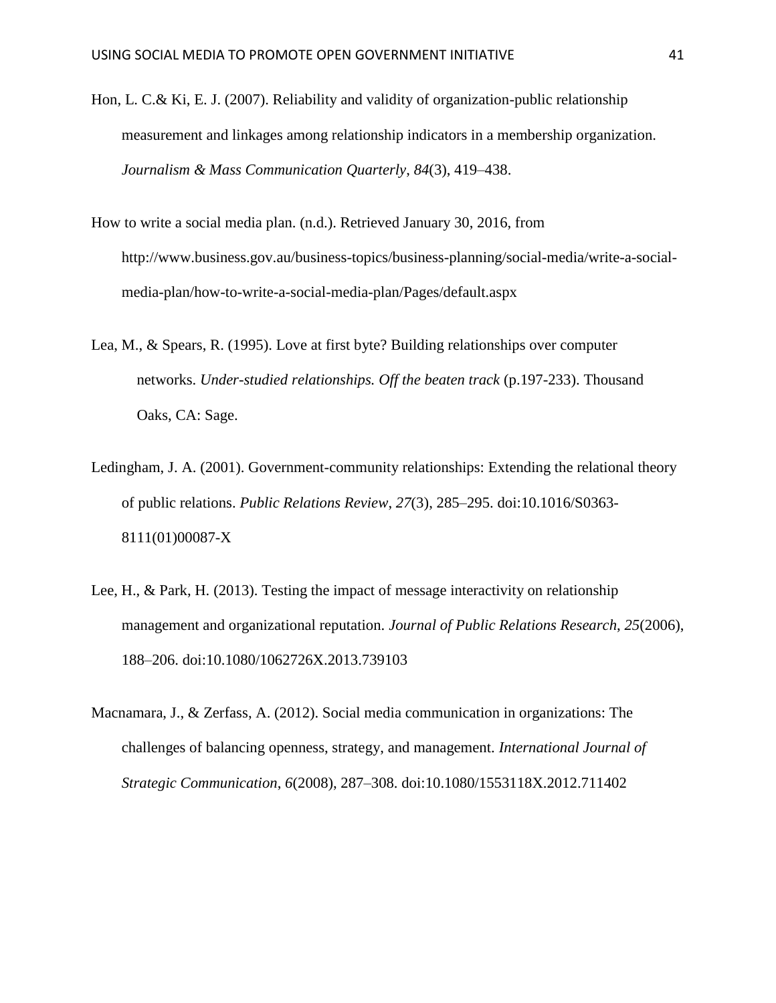- Hon, L. C.& Ki, E. J. (2007). Reliability and validity of organization-public relationship measurement and linkages among relationship indicators in a membership organization. *Journalism & Mass Communication Quarterly*, *84*(3), 419–438.
- How to write a social media plan. (n.d.). Retrieved January 30, 2016, from http://www.business.gov.au/business-topics/business-planning/social-media/write-a-socialmedia-plan/how-to-write-a-social-media-plan/Pages/default.aspx
- Lea, M., & Spears, R. (1995). Love at first byte? Building relationships over computer networks. *Under-studied relationships. Off the beaten track* (p.197-233). Thousand Oaks, CA: Sage.
- Ledingham, J. A. (2001). Government-community relationships: Extending the relational theory of public relations. *Public Relations Review*, *27*(3), 285–295. doi:10.1016/S0363- 8111(01)00087-X
- Lee, H., & Park, H. (2013). Testing the impact of message interactivity on relationship management and organizational reputation. *Journal of Public Relations Research*, *25*(2006), 188–206. doi:10.1080/1062726X.2013.739103
- Macnamara, J., & Zerfass, A. (2012). Social media communication in organizations: The challenges of balancing openness, strategy, and management. *International Journal of Strategic Communication*, *6*(2008), 287–308. doi:10.1080/1553118X.2012.711402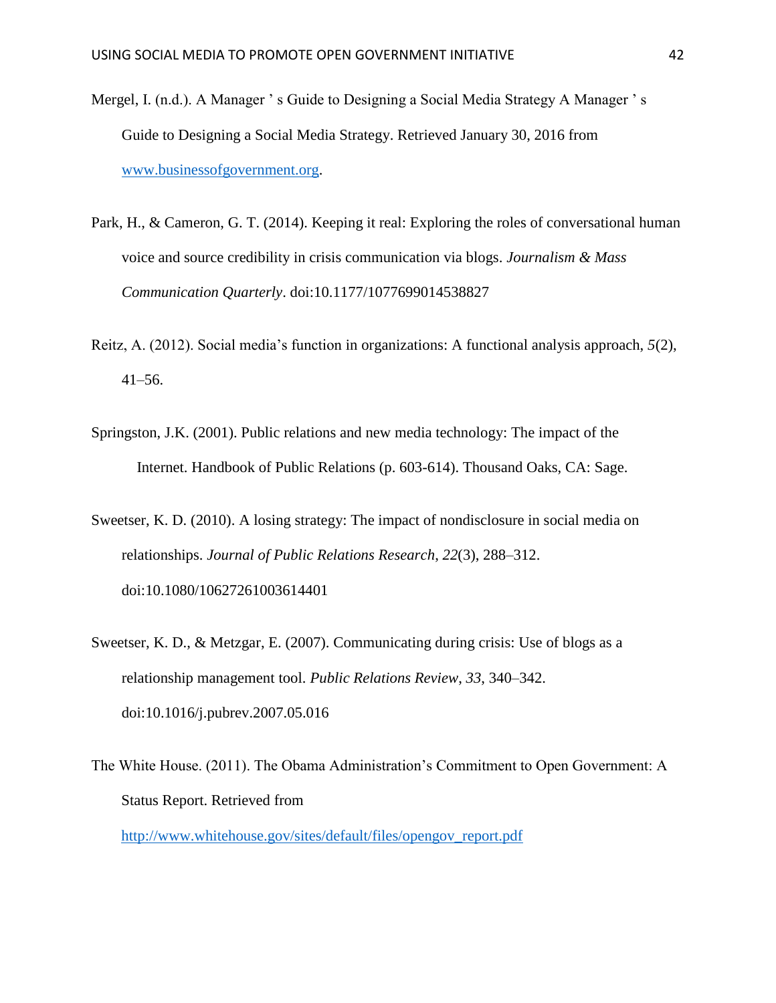- Mergel, I. (n.d.). A Manager ' s Guide to Designing a Social Media Strategy A Manager ' s Guide to Designing a Social Media Strategy. Retrieved January 30, 2016 from [www.businessofgovernment.org.](http://www.businessofgovernment.org/)
- Park, H., & Cameron, G. T. (2014). Keeping it real: Exploring the roles of conversational human voice and source credibility in crisis communication via blogs. *Journalism & Mass Communication Quarterly*. doi:10.1177/1077699014538827
- Reitz, A. (2012). Social media's function in organizations: A functional analysis approach, *5*(2), 41–56.
- Springston, J.K. (2001). Public relations and new media technology: The impact of the Internet. Handbook of Public Relations (p. 603-614). Thousand Oaks, CA: Sage.
- Sweetser, K. D. (2010). A losing strategy: The impact of nondisclosure in social media on relationships. *Journal of Public Relations Research*, *22*(3), 288–312. doi:10.1080/10627261003614401
- Sweetser, K. D., & Metzgar, E. (2007). Communicating during crisis: Use of blogs as a relationship management tool. *Public Relations Review*, *33*, 340–342. doi:10.1016/j.pubrev.2007.05.016
- The White House. (2011). The Obama Administration's Commitment to Open Government: A Status Report. Retrieved from [http://www.whitehouse.gov/sites/default/files/opengov\\_report.pdf](http://www.whitehouse.gov/sites/default/files/opengov_report.pdf)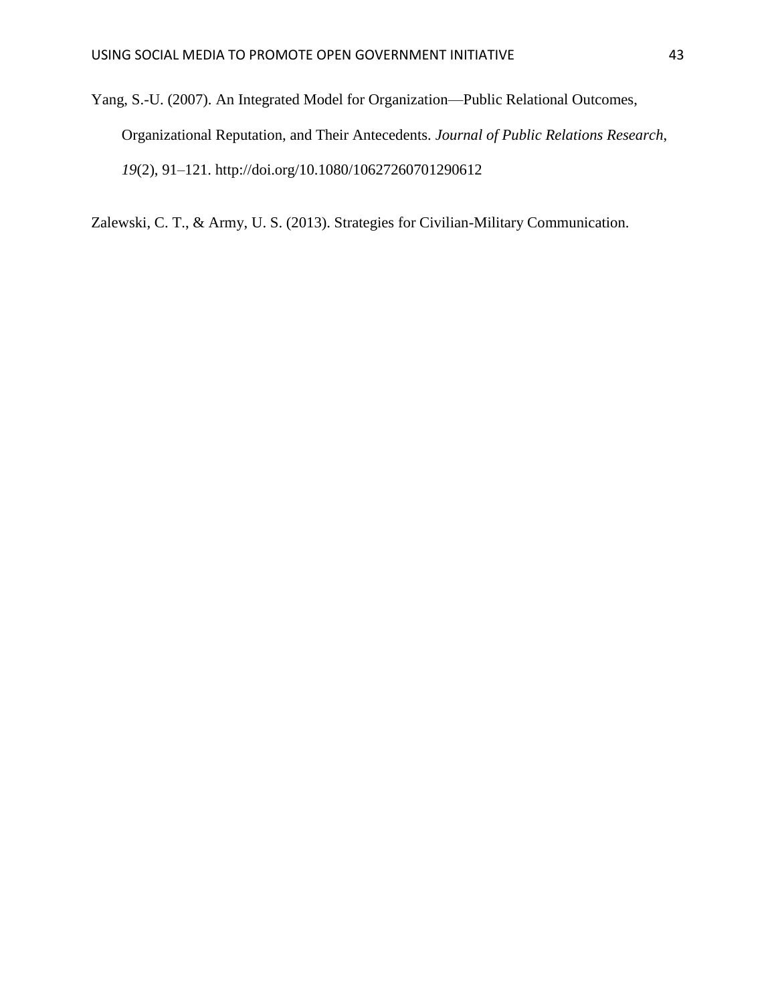Yang, S.-U. (2007). An Integrated Model for Organization—Public Relational Outcomes, Organizational Reputation, and Their Antecedents. *Journal of Public Relations Research*, *19*(2), 91–121. http://doi.org/10.1080/10627260701290612

Zalewski, C. T., & Army, U. S. (2013). Strategies for Civilian-Military Communication.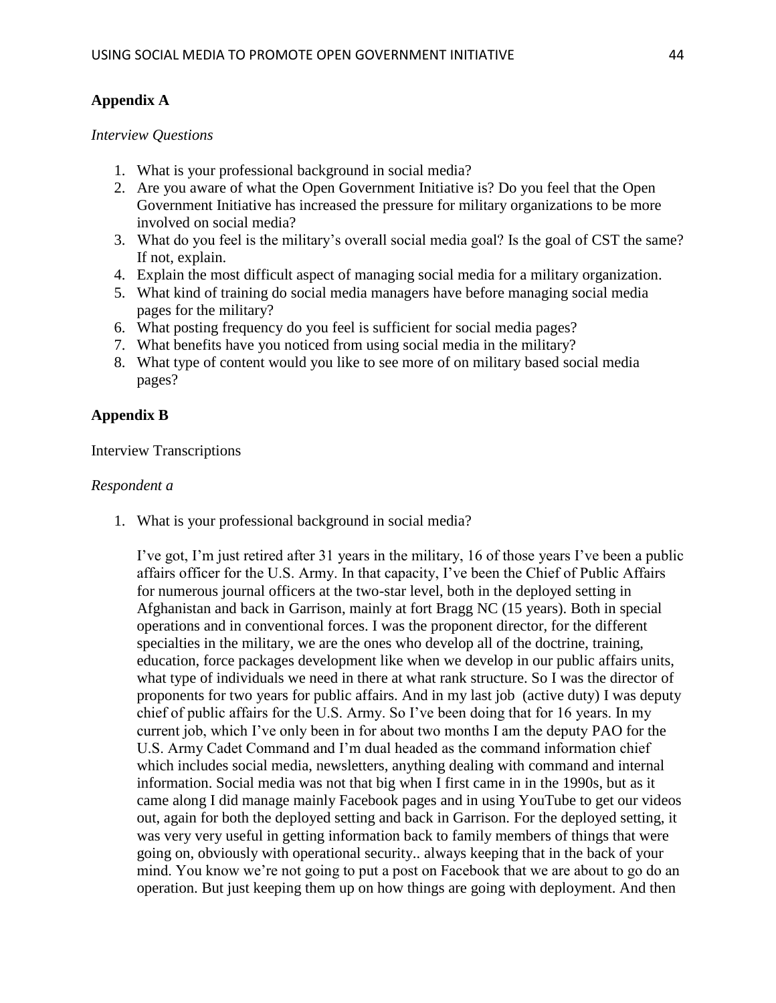# **Appendix A**

## *Interview Questions*

- 1. What is your professional background in social media?
- 2. Are you aware of what the Open Government Initiative is? Do you feel that the Open Government Initiative has increased the pressure for military organizations to be more involved on social media?
- 3. What do you feel is the military's overall social media goal? Is the goal of CST the same? If not, explain.
- 4. Explain the most difficult aspect of managing social media for a military organization.
- 5. What kind of training do social media managers have before managing social media pages for the military?
- 6. What posting frequency do you feel is sufficient for social media pages?
- 7. What benefits have you noticed from using social media in the military?
- 8. What type of content would you like to see more of on military based social media pages?

# **Appendix B**

## Interview Transcriptions

## *Respondent a*

1. What is your professional background in social media?

I've got, I'm just retired after 31 years in the military, 16 of those years I've been a public affairs officer for the U.S. Army. In that capacity, I've been the Chief of Public Affairs for numerous journal officers at the two-star level, both in the deployed setting in Afghanistan and back in Garrison, mainly at fort Bragg NC (15 years). Both in special operations and in conventional forces. I was the proponent director, for the different specialties in the military, we are the ones who develop all of the doctrine, training, education, force packages development like when we develop in our public affairs units, what type of individuals we need in there at what rank structure. So I was the director of proponents for two years for public affairs. And in my last job (active duty) I was deputy chief of public affairs for the U.S. Army. So I've been doing that for 16 years. In my current job, which I've only been in for about two months I am the deputy PAO for the U.S. Army Cadet Command and I'm dual headed as the command information chief which includes social media, newsletters, anything dealing with command and internal information. Social media was not that big when I first came in in the 1990s, but as it came along I did manage mainly Facebook pages and in using YouTube to get our videos out, again for both the deployed setting and back in Garrison. For the deployed setting, it was very very useful in getting information back to family members of things that were going on, obviously with operational security.. always keeping that in the back of your mind. You know we're not going to put a post on Facebook that we are about to go do an operation. But just keeping them up on how things are going with deployment. And then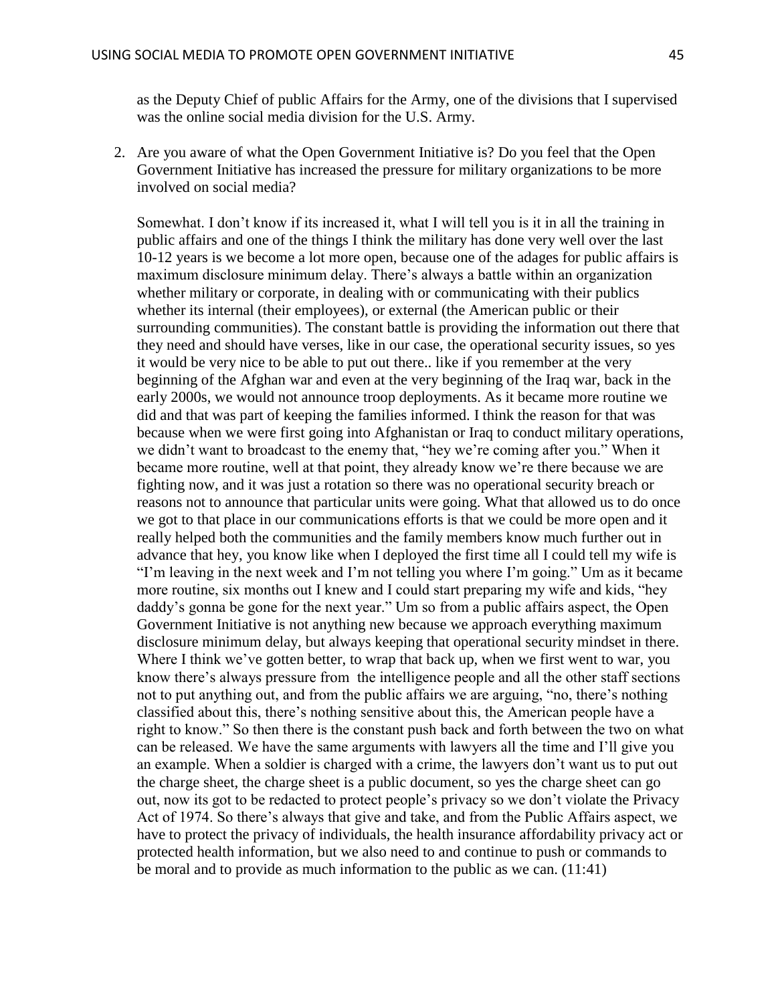as the Deputy Chief of public Affairs for the Army, one of the divisions that I supervised was the online social media division for the U.S. Army.

2. Are you aware of what the Open Government Initiative is? Do you feel that the Open Government Initiative has increased the pressure for military organizations to be more involved on social media?

Somewhat. I don't know if its increased it, what I will tell you is it in all the training in public affairs and one of the things I think the military has done very well over the last 10-12 years is we become a lot more open, because one of the adages for public affairs is maximum disclosure minimum delay. There's always a battle within an organization whether military or corporate, in dealing with or communicating with their publics whether its internal (their employees), or external (the American public or their surrounding communities). The constant battle is providing the information out there that they need and should have verses, like in our case, the operational security issues, so yes it would be very nice to be able to put out there.. like if you remember at the very beginning of the Afghan war and even at the very beginning of the Iraq war, back in the early 2000s, we would not announce troop deployments. As it became more routine we did and that was part of keeping the families informed. I think the reason for that was because when we were first going into Afghanistan or Iraq to conduct military operations, we didn't want to broadcast to the enemy that, "hey we're coming after you." When it became more routine, well at that point, they already know we're there because we are fighting now, and it was just a rotation so there was no operational security breach or reasons not to announce that particular units were going. What that allowed us to do once we got to that place in our communications efforts is that we could be more open and it really helped both the communities and the family members know much further out in advance that hey, you know like when I deployed the first time all I could tell my wife is "I'm leaving in the next week and I'm not telling you where I'm going." Um as it became more routine, six months out I knew and I could start preparing my wife and kids, "hey daddy's gonna be gone for the next year." Um so from a public affairs aspect, the Open Government Initiative is not anything new because we approach everything maximum disclosure minimum delay, but always keeping that operational security mindset in there. Where I think we've gotten better, to wrap that back up, when we first went to war, you know there's always pressure from the intelligence people and all the other staff sections not to put anything out, and from the public affairs we are arguing, "no, there's nothing classified about this, there's nothing sensitive about this, the American people have a right to know." So then there is the constant push back and forth between the two on what can be released. We have the same arguments with lawyers all the time and I'll give you an example. When a soldier is charged with a crime, the lawyers don't want us to put out the charge sheet, the charge sheet is a public document, so yes the charge sheet can go out, now its got to be redacted to protect people's privacy so we don't violate the Privacy Act of 1974. So there's always that give and take, and from the Public Affairs aspect, we have to protect the privacy of individuals, the health insurance affordability privacy act or protected health information, but we also need to and continue to push or commands to be moral and to provide as much information to the public as we can. (11:41)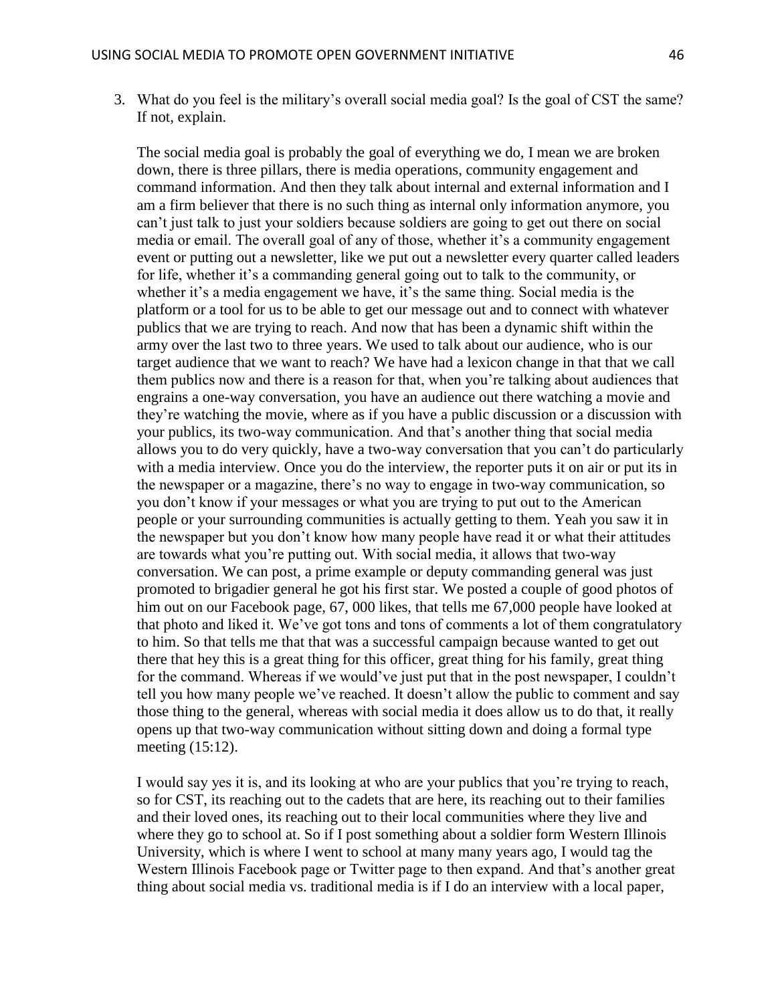3. What do you feel is the military's overall social media goal? Is the goal of CST the same? If not, explain.

The social media goal is probably the goal of everything we do, I mean we are broken down, there is three pillars, there is media operations, community engagement and command information. And then they talk about internal and external information and I am a firm believer that there is no such thing as internal only information anymore, you can't just talk to just your soldiers because soldiers are going to get out there on social media or email. The overall goal of any of those, whether it's a community engagement event or putting out a newsletter, like we put out a newsletter every quarter called leaders for life, whether it's a commanding general going out to talk to the community, or whether it's a media engagement we have, it's the same thing. Social media is the platform or a tool for us to be able to get our message out and to connect with whatever publics that we are trying to reach. And now that has been a dynamic shift within the army over the last two to three years. We used to talk about our audience, who is our target audience that we want to reach? We have had a lexicon change in that that we call them publics now and there is a reason for that, when you're talking about audiences that engrains a one-way conversation, you have an audience out there watching a movie and they're watching the movie, where as if you have a public discussion or a discussion with your publics, its two-way communication. And that's another thing that social media allows you to do very quickly, have a two-way conversation that you can't do particularly with a media interview. Once you do the interview, the reporter puts it on air or put its in the newspaper or a magazine, there's no way to engage in two-way communication, so you don't know if your messages or what you are trying to put out to the American people or your surrounding communities is actually getting to them. Yeah you saw it in the newspaper but you don't know how many people have read it or what their attitudes are towards what you're putting out. With social media, it allows that two-way conversation. We can post, a prime example or deputy commanding general was just promoted to brigadier general he got his first star. We posted a couple of good photos of him out on our Facebook page, 67, 000 likes, that tells me 67,000 people have looked at that photo and liked it. We've got tons and tons of comments a lot of them congratulatory to him. So that tells me that that was a successful campaign because wanted to get out there that hey this is a great thing for this officer, great thing for his family, great thing for the command. Whereas if we would've just put that in the post newspaper, I couldn't tell you how many people we've reached. It doesn't allow the public to comment and say those thing to the general, whereas with social media it does allow us to do that, it really opens up that two-way communication without sitting down and doing a formal type meeting (15:12).

I would say yes it is, and its looking at who are your publics that you're trying to reach, so for CST, its reaching out to the cadets that are here, its reaching out to their families and their loved ones, its reaching out to their local communities where they live and where they go to school at. So if I post something about a soldier form Western Illinois University, which is where I went to school at many many years ago, I would tag the Western Illinois Facebook page or Twitter page to then expand. And that's another great thing about social media vs. traditional media is if I do an interview with a local paper,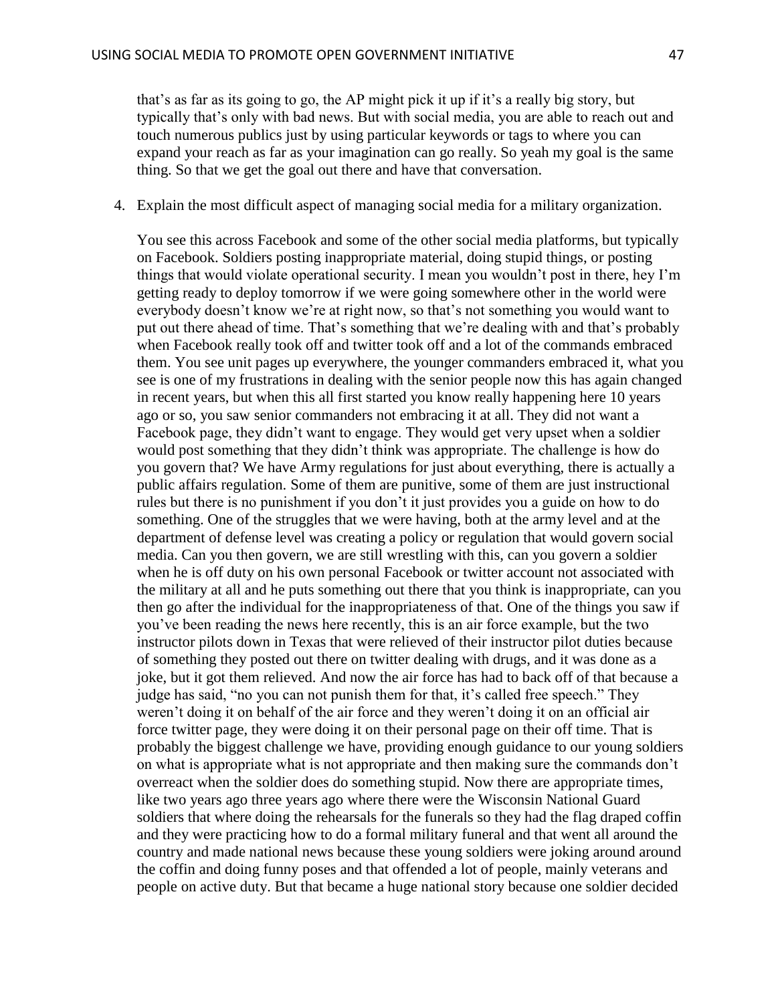that's as far as its going to go, the AP might pick it up if it's a really big story, but typically that's only with bad news. But with social media, you are able to reach out and touch numerous publics just by using particular keywords or tags to where you can expand your reach as far as your imagination can go really. So yeah my goal is the same thing. So that we get the goal out there and have that conversation.

#### 4. Explain the most difficult aspect of managing social media for a military organization.

You see this across Facebook and some of the other social media platforms, but typically on Facebook. Soldiers posting inappropriate material, doing stupid things, or posting things that would violate operational security. I mean you wouldn't post in there, hey I'm getting ready to deploy tomorrow if we were going somewhere other in the world were everybody doesn't know we're at right now, so that's not something you would want to put out there ahead of time. That's something that we're dealing with and that's probably when Facebook really took off and twitter took off and a lot of the commands embraced them. You see unit pages up everywhere, the younger commanders embraced it, what you see is one of my frustrations in dealing with the senior people now this has again changed in recent years, but when this all first started you know really happening here 10 years ago or so, you saw senior commanders not embracing it at all. They did not want a Facebook page, they didn't want to engage. They would get very upset when a soldier would post something that they didn't think was appropriate. The challenge is how do you govern that? We have Army regulations for just about everything, there is actually a public affairs regulation. Some of them are punitive, some of them are just instructional rules but there is no punishment if you don't it just provides you a guide on how to do something. One of the struggles that we were having, both at the army level and at the department of defense level was creating a policy or regulation that would govern social media. Can you then govern, we are still wrestling with this, can you govern a soldier when he is off duty on his own personal Facebook or twitter account not associated with the military at all and he puts something out there that you think is inappropriate, can you then go after the individual for the inappropriateness of that. One of the things you saw if you've been reading the news here recently, this is an air force example, but the two instructor pilots down in Texas that were relieved of their instructor pilot duties because of something they posted out there on twitter dealing with drugs, and it was done as a joke, but it got them relieved. And now the air force has had to back off of that because a judge has said, "no you can not punish them for that, it's called free speech." They weren't doing it on behalf of the air force and they weren't doing it on an official air force twitter page, they were doing it on their personal page on their off time. That is probably the biggest challenge we have, providing enough guidance to our young soldiers on what is appropriate what is not appropriate and then making sure the commands don't overreact when the soldier does do something stupid. Now there are appropriate times, like two years ago three years ago where there were the Wisconsin National Guard soldiers that where doing the rehearsals for the funerals so they had the flag draped coffin and they were practicing how to do a formal military funeral and that went all around the country and made national news because these young soldiers were joking around around the coffin and doing funny poses and that offended a lot of people, mainly veterans and people on active duty. But that became a huge national story because one soldier decided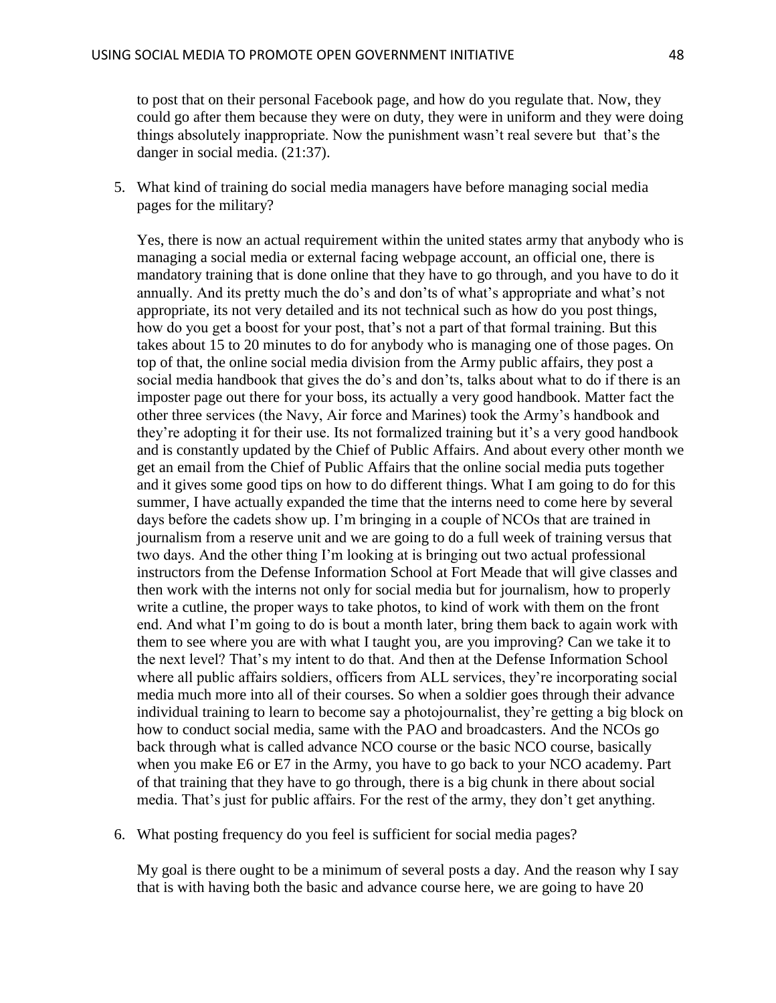to post that on their personal Facebook page, and how do you regulate that. Now, they could go after them because they were on duty, they were in uniform and they were doing things absolutely inappropriate. Now the punishment wasn't real severe but that's the danger in social media. (21:37).

5. What kind of training do social media managers have before managing social media pages for the military?

Yes, there is now an actual requirement within the united states army that anybody who is managing a social media or external facing webpage account, an official one, there is mandatory training that is done online that they have to go through, and you have to do it annually. And its pretty much the do's and don'ts of what's appropriate and what's not appropriate, its not very detailed and its not technical such as how do you post things, how do you get a boost for your post, that's not a part of that formal training. But this takes about 15 to 20 minutes to do for anybody who is managing one of those pages. On top of that, the online social media division from the Army public affairs, they post a social media handbook that gives the do's and don'ts, talks about what to do if there is an imposter page out there for your boss, its actually a very good handbook. Matter fact the other three services (the Navy, Air force and Marines) took the Army's handbook and they're adopting it for their use. Its not formalized training but it's a very good handbook and is constantly updated by the Chief of Public Affairs. And about every other month we get an email from the Chief of Public Affairs that the online social media puts together and it gives some good tips on how to do different things. What I am going to do for this summer, I have actually expanded the time that the interns need to come here by several days before the cadets show up. I'm bringing in a couple of NCOs that are trained in journalism from a reserve unit and we are going to do a full week of training versus that two days. And the other thing I'm looking at is bringing out two actual professional instructors from the Defense Information School at Fort Meade that will give classes and then work with the interns not only for social media but for journalism, how to properly write a cutline, the proper ways to take photos, to kind of work with them on the front end. And what I'm going to do is bout a month later, bring them back to again work with them to see where you are with what I taught you, are you improving? Can we take it to the next level? That's my intent to do that. And then at the Defense Information School where all public affairs soldiers, officers from ALL services, they're incorporating social media much more into all of their courses. So when a soldier goes through their advance individual training to learn to become say a photojournalist, they're getting a big block on how to conduct social media, same with the PAO and broadcasters. And the NCOs go back through what is called advance NCO course or the basic NCO course, basically when you make E6 or E7 in the Army, you have to go back to your NCO academy. Part of that training that they have to go through, there is a big chunk in there about social media. That's just for public affairs. For the rest of the army, they don't get anything.

6. What posting frequency do you feel is sufficient for social media pages?

My goal is there ought to be a minimum of several posts a day. And the reason why I say that is with having both the basic and advance course here, we are going to have 20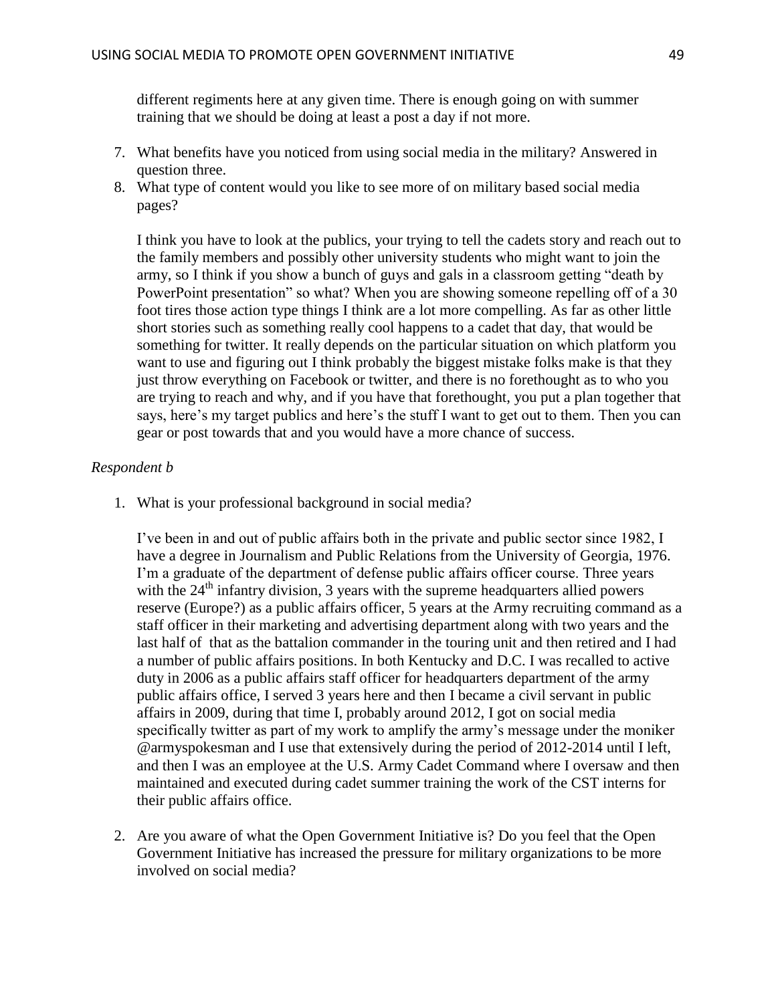different regiments here at any given time. There is enough going on with summer training that we should be doing at least a post a day if not more.

- 7. What benefits have you noticed from using social media in the military? Answered in question three.
- 8. What type of content would you like to see more of on military based social media pages?

I think you have to look at the publics, your trying to tell the cadets story and reach out to the family members and possibly other university students who might want to join the army, so I think if you show a bunch of guys and gals in a classroom getting "death by PowerPoint presentation" so what? When you are showing someone repelling off of a 30 foot tires those action type things I think are a lot more compelling. As far as other little short stories such as something really cool happens to a cadet that day, that would be something for twitter. It really depends on the particular situation on which platform you want to use and figuring out I think probably the biggest mistake folks make is that they just throw everything on Facebook or twitter, and there is no forethought as to who you are trying to reach and why, and if you have that forethought, you put a plan together that says, here's my target publics and here's the stuff I want to get out to them. Then you can gear or post towards that and you would have a more chance of success.

#### *Respondent b*

1. What is your professional background in social media?

I've been in and out of public affairs both in the private and public sector since 1982, I have a degree in Journalism and Public Relations from the University of Georgia, 1976. I'm a graduate of the department of defense public affairs officer course. Three years with the  $24<sup>th</sup>$  infantry division, 3 years with the supreme headquarters allied powers reserve (Europe?) as a public affairs officer, 5 years at the Army recruiting command as a staff officer in their marketing and advertising department along with two years and the last half of that as the battalion commander in the touring unit and then retired and I had a number of public affairs positions. In both Kentucky and D.C. I was recalled to active duty in 2006 as a public affairs staff officer for headquarters department of the army public affairs office, I served 3 years here and then I became a civil servant in public affairs in 2009, during that time I, probably around 2012, I got on social media specifically twitter as part of my work to amplify the army's message under the moniker @armyspokesman and I use that extensively during the period of 2012-2014 until I left, and then I was an employee at the U.S. Army Cadet Command where I oversaw and then maintained and executed during cadet summer training the work of the CST interns for their public affairs office.

2. Are you aware of what the Open Government Initiative is? Do you feel that the Open Government Initiative has increased the pressure for military organizations to be more involved on social media?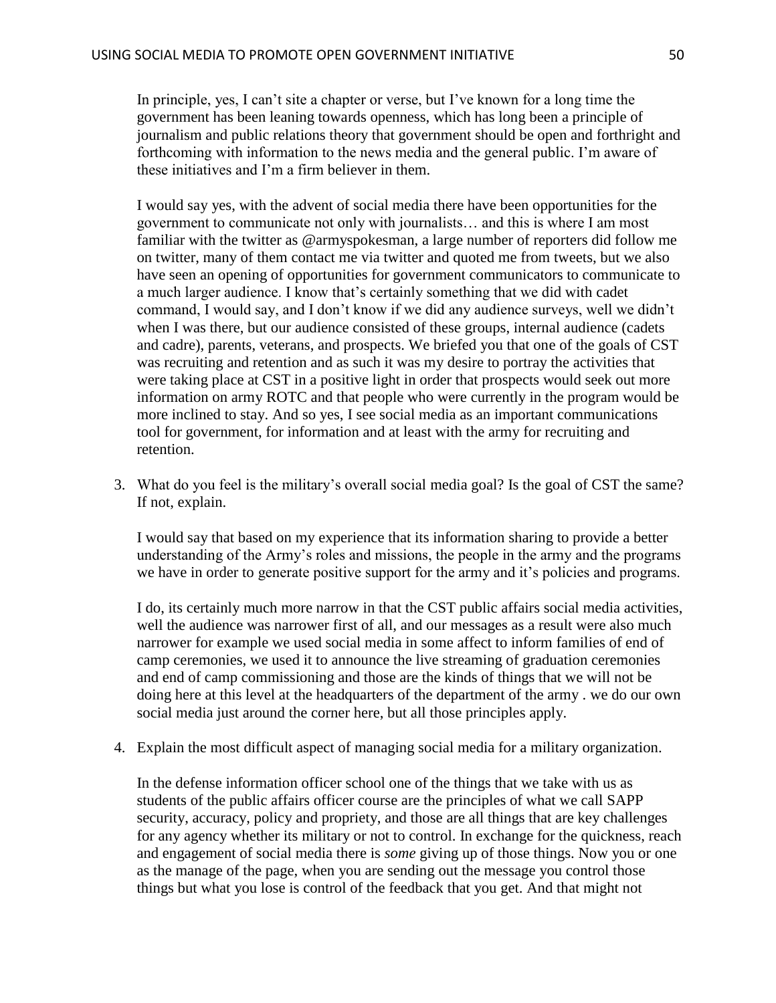In principle, yes, I can't site a chapter or verse, but I've known for a long time the government has been leaning towards openness, which has long been a principle of journalism and public relations theory that government should be open and forthright and forthcoming with information to the news media and the general public. I'm aware of these initiatives and I'm a firm believer in them.

I would say yes, with the advent of social media there have been opportunities for the government to communicate not only with journalists… and this is where I am most familiar with the twitter as @armyspokesman, a large number of reporters did follow me on twitter, many of them contact me via twitter and quoted me from tweets, but we also have seen an opening of opportunities for government communicators to communicate to a much larger audience. I know that's certainly something that we did with cadet command, I would say, and I don't know if we did any audience surveys, well we didn't when I was there, but our audience consisted of these groups, internal audience (cadets and cadre), parents, veterans, and prospects. We briefed you that one of the goals of CST was recruiting and retention and as such it was my desire to portray the activities that were taking place at CST in a positive light in order that prospects would seek out more information on army ROTC and that people who were currently in the program would be more inclined to stay. And so yes, I see social media as an important communications tool for government, for information and at least with the army for recruiting and retention.

3. What do you feel is the military's overall social media goal? Is the goal of CST the same? If not, explain.

I would say that based on my experience that its information sharing to provide a better understanding of the Army's roles and missions, the people in the army and the programs we have in order to generate positive support for the army and it's policies and programs.

I do, its certainly much more narrow in that the CST public affairs social media activities, well the audience was narrower first of all, and our messages as a result were also much narrower for example we used social media in some affect to inform families of end of camp ceremonies, we used it to announce the live streaming of graduation ceremonies and end of camp commissioning and those are the kinds of things that we will not be doing here at this level at the headquarters of the department of the army . we do our own social media just around the corner here, but all those principles apply.

4. Explain the most difficult aspect of managing social media for a military organization.

In the defense information officer school one of the things that we take with us as students of the public affairs officer course are the principles of what we call SAPP security, accuracy, policy and propriety, and those are all things that are key challenges for any agency whether its military or not to control. In exchange for the quickness, reach and engagement of social media there is *some* giving up of those things. Now you or one as the manage of the page, when you are sending out the message you control those things but what you lose is control of the feedback that you get. And that might not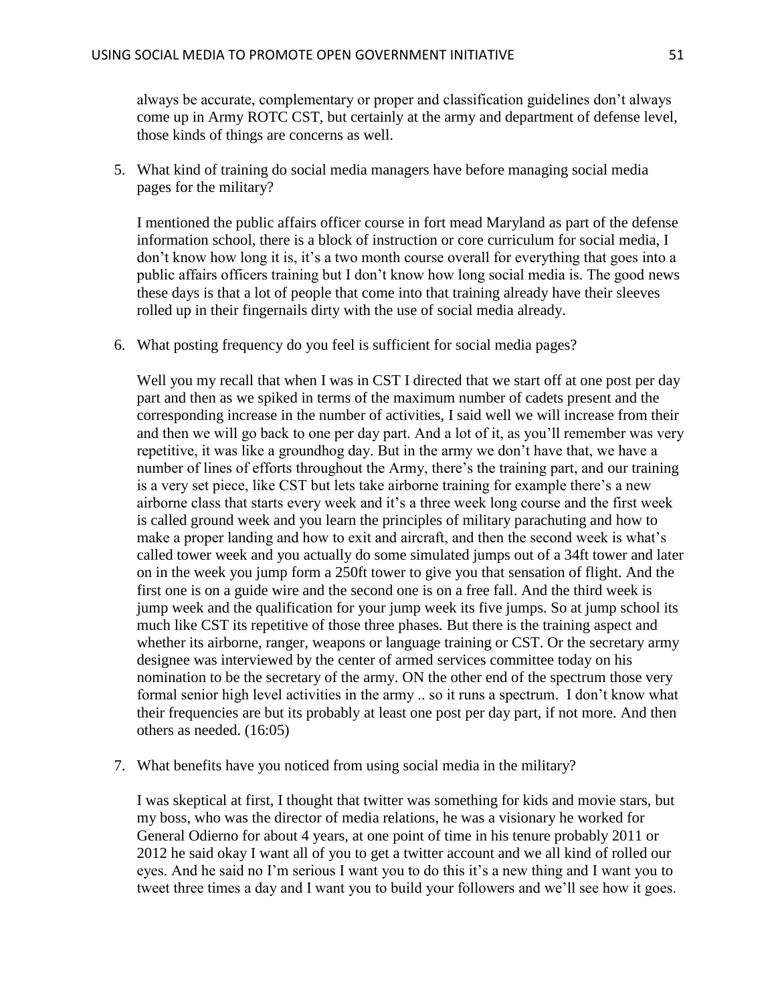always be accurate, complementary or proper and classification guidelines don't always come up in Army ROTC CST, but certainly at the army and department of defense level, those kinds of things are concerns as well.

5. What kind of training do social media managers have before managing social media pages for the military?

I mentioned the public affairs officer course in fort mead Maryland as part of the defense information school, there is a block of instruction or core curriculum for social media, I don't know how long it is, it's a two month course overall for everything that goes into a public affairs officers training but I don't know how long social media is. The good news these days is that a lot of people that come into that training already have their sleeves rolled up in their fingernails dirty with the use of social media already.

6. What posting frequency do you feel is sufficient for social media pages?

Well you my recall that when I was in CST I directed that we start off at one post per day part and then as we spiked in terms of the maximum number of cadets present and the corresponding increase in the number of activities, I said well we will increase from their and then we will go back to one per day part. And a lot of it, as you'll remember was very repetitive, it was like a groundhog day. But in the army we don't have that, we have a number of lines of efforts throughout the Army, there's the training part, and our training is a very set piece, like CST but lets take airborne training for example there's a new airborne class that starts every week and it's a three week long course and the first week is called ground week and you learn the principles of military parachuting and how to make a proper landing and how to exit and aircraft, and then the second week is what's called tower week and you actually do some simulated jumps out of a 34ft tower and later on in the week you jump form a 250ft tower to give you that sensation of flight. And the first one is on a guide wire and the second one is on a free fall. And the third week is jump week and the qualification for your jump week its five jumps. So at jump school its much like CST its repetitive of those three phases. But there is the training aspect and whether its airborne, ranger, weapons or language training or CST. Or the secretary army designee was interviewed by the center of armed services committee today on his nomination to be the secretary of the army. ON the other end of the spectrum those very formal senior high level activities in the army .. so it runs a spectrum. I don't know what their frequencies are but its probably at least one post per day part, if not more. And then others as needed. (16:05)

7. What benefits have you noticed from using social media in the military?

I was skeptical at first, I thought that twitter was something for kids and movie stars, but my boss, who was the director of media relations, he was a visionary he worked for General Odierno for about 4 years, at one point of time in his tenure probably 2011 or 2012 he said okay I want all of you to get a twitter account and we all kind of rolled our eyes. And he said no I'm serious I want you to do this it's a new thing and I want you to tweet three times a day and I want you to build your followers and we'll see how it goes.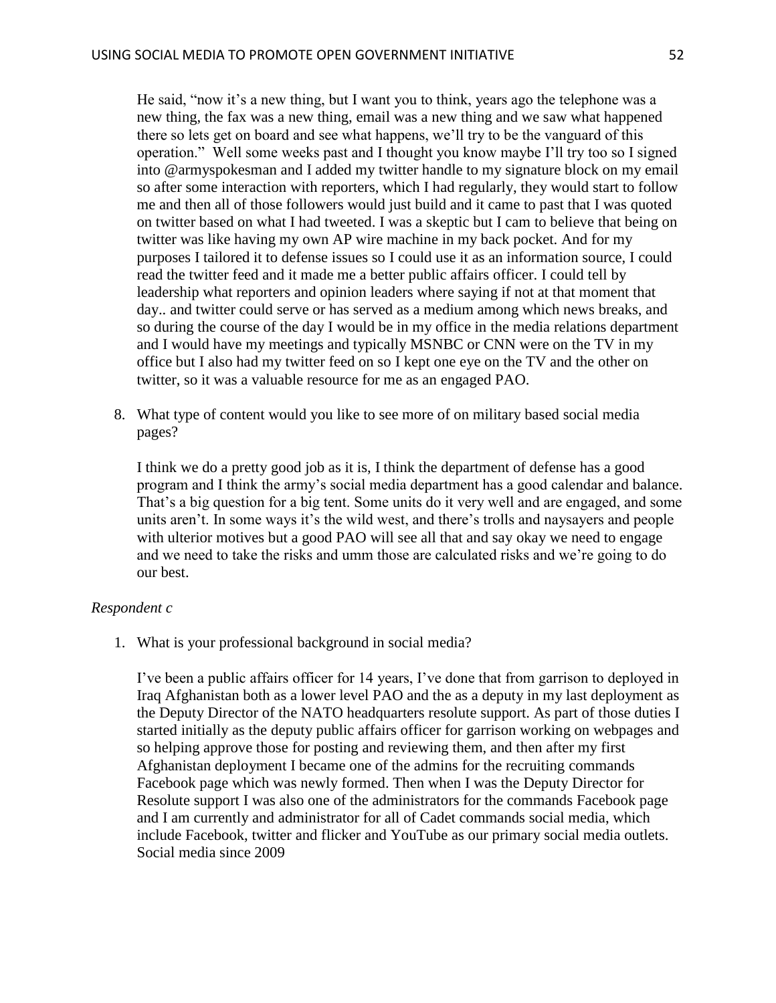He said, "now it's a new thing, but I want you to think, years ago the telephone was a new thing, the fax was a new thing, email was a new thing and we saw what happened there so lets get on board and see what happens, we'll try to be the vanguard of this operation." Well some weeks past and I thought you know maybe I'll try too so I signed into @armyspokesman and I added my twitter handle to my signature block on my email so after some interaction with reporters, which I had regularly, they would start to follow me and then all of those followers would just build and it came to past that I was quoted on twitter based on what I had tweeted. I was a skeptic but I cam to believe that being on twitter was like having my own AP wire machine in my back pocket. And for my purposes I tailored it to defense issues so I could use it as an information source, I could read the twitter feed and it made me a better public affairs officer. I could tell by leadership what reporters and opinion leaders where saying if not at that moment that day.. and twitter could serve or has served as a medium among which news breaks, and so during the course of the day I would be in my office in the media relations department and I would have my meetings and typically MSNBC or CNN were on the TV in my office but I also had my twitter feed on so I kept one eye on the TV and the other on twitter, so it was a valuable resource for me as an engaged PAO.

8. What type of content would you like to see more of on military based social media pages?

I think we do a pretty good job as it is, I think the department of defense has a good program and I think the army's social media department has a good calendar and balance. That's a big question for a big tent. Some units do it very well and are engaged, and some units aren't. In some ways it's the wild west, and there's trolls and naysayers and people with ulterior motives but a good PAO will see all that and say okay we need to engage and we need to take the risks and umm those are calculated risks and we're going to do our best.

#### *Respondent c*

1. What is your professional background in social media?

I've been a public affairs officer for 14 years, I've done that from garrison to deployed in Iraq Afghanistan both as a lower level PAO and the as a deputy in my last deployment as the Deputy Director of the NATO headquarters resolute support. As part of those duties I started initially as the deputy public affairs officer for garrison working on webpages and so helping approve those for posting and reviewing them, and then after my first Afghanistan deployment I became one of the admins for the recruiting commands Facebook page which was newly formed. Then when I was the Deputy Director for Resolute support I was also one of the administrators for the commands Facebook page and I am currently and administrator for all of Cadet commands social media, which include Facebook, twitter and flicker and YouTube as our primary social media outlets. Social media since 2009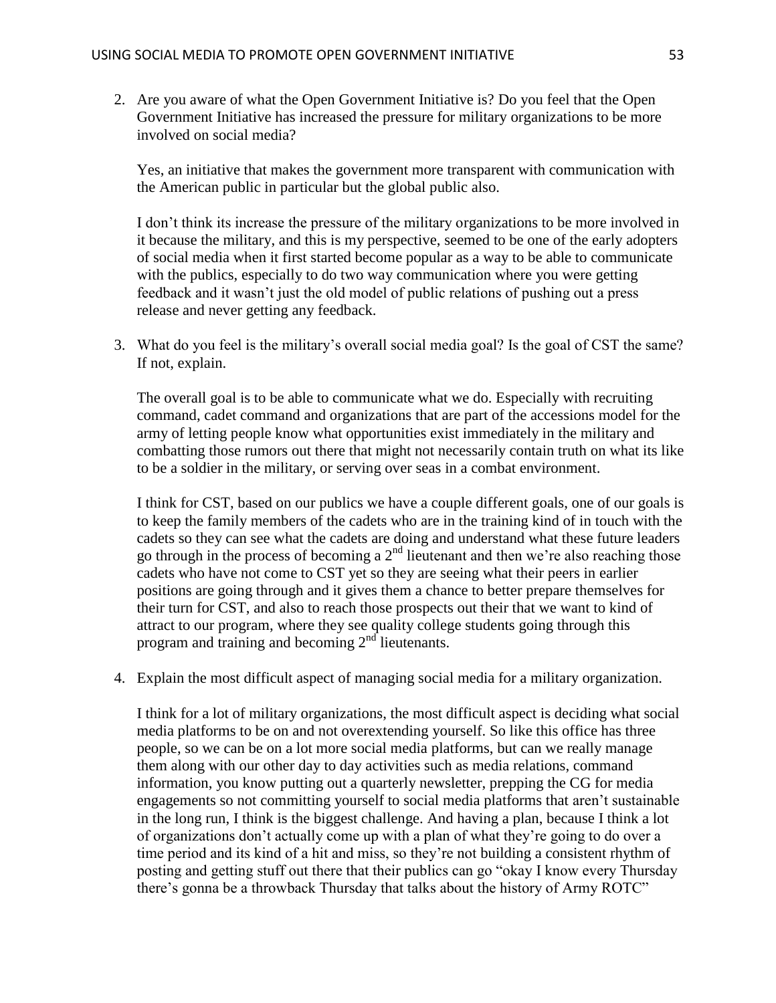2. Are you aware of what the Open Government Initiative is? Do you feel that the Open Government Initiative has increased the pressure for military organizations to be more involved on social media?

Yes, an initiative that makes the government more transparent with communication with the American public in particular but the global public also.

I don't think its increase the pressure of the military organizations to be more involved in it because the military, and this is my perspective, seemed to be one of the early adopters of social media when it first started become popular as a way to be able to communicate with the publics, especially to do two way communication where you were getting feedback and it wasn't just the old model of public relations of pushing out a press release and never getting any feedback.

3. What do you feel is the military's overall social media goal? Is the goal of CST the same? If not, explain.

The overall goal is to be able to communicate what we do. Especially with recruiting command, cadet command and organizations that are part of the accessions model for the army of letting people know what opportunities exist immediately in the military and combatting those rumors out there that might not necessarily contain truth on what its like to be a soldier in the military, or serving over seas in a combat environment.

I think for CST, based on our publics we have a couple different goals, one of our goals is to keep the family members of the cadets who are in the training kind of in touch with the cadets so they can see what the cadets are doing and understand what these future leaders go through in the process of becoming a  $2<sup>nd</sup>$  lieutenant and then we're also reaching those cadets who have not come to CST yet so they are seeing what their peers in earlier positions are going through and it gives them a chance to better prepare themselves for their turn for CST, and also to reach those prospects out their that we want to kind of attract to our program, where they see quality college students going through this program and training and becoming  $2<sup>nd</sup>$  lieutenants.

4. Explain the most difficult aspect of managing social media for a military organization.

I think for a lot of military organizations, the most difficult aspect is deciding what social media platforms to be on and not overextending yourself. So like this office has three people, so we can be on a lot more social media platforms, but can we really manage them along with our other day to day activities such as media relations, command information, you know putting out a quarterly newsletter, prepping the CG for media engagements so not committing yourself to social media platforms that aren't sustainable in the long run, I think is the biggest challenge. And having a plan, because I think a lot of organizations don't actually come up with a plan of what they're going to do over a time period and its kind of a hit and miss, so they're not building a consistent rhythm of posting and getting stuff out there that their publics can go "okay I know every Thursday there's gonna be a throwback Thursday that talks about the history of Army ROTC"